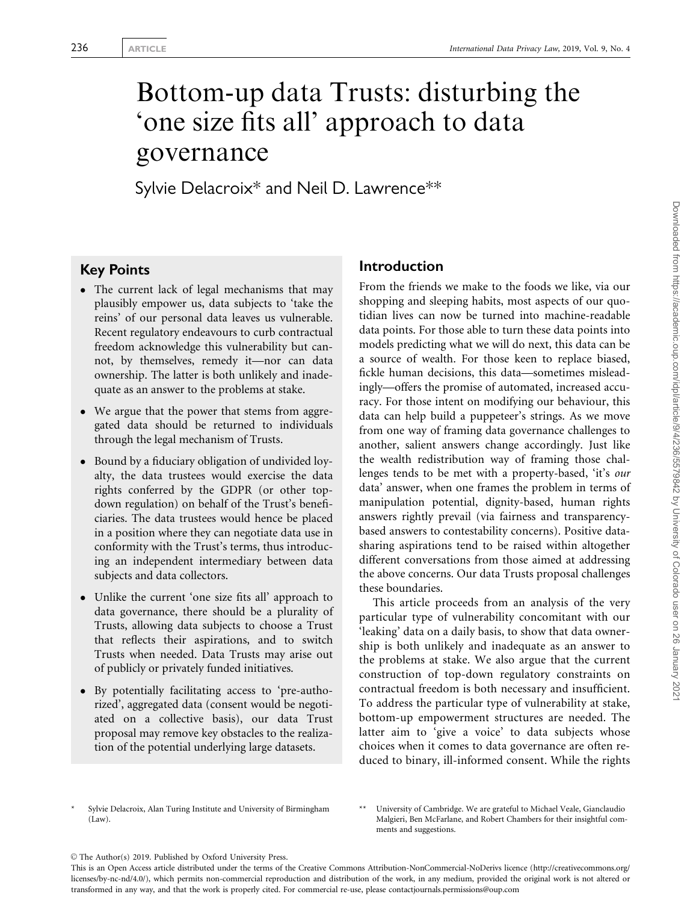# Bottom-up data Trusts: disturbing the 'one size fits all' approach to data governance

Sylvie Delacroix\* and Neil D. Lawrence\*\*

# Key Points

- The current lack of legal mechanisms that may plausibly empower us, data subjects to 'take the reins' of our personal data leaves us vulnerable. Recent regulatory endeavours to curb contractual freedom acknowledge this vulnerability but cannot, by themselves, remedy it—nor can data ownership. The latter is both unlikely and inadequate as an answer to the problems at stake.
- We argue that the power that stems from aggregated data should be returned to individuals through the legal mechanism of Trusts.
- Bound by a fiduciary obligation of undivided loyalty, the data trustees would exercise the data rights conferred by the GDPR (or other topdown regulation) on behalf of the Trust's beneficiaries. The data trustees would hence be placed in a position where they can negotiate data use in conformity with the Trust's terms, thus introducing an independent intermediary between data subjects and data collectors.
- Unlike the current 'one size fits all' approach to data governance, there should be a plurality of Trusts, allowing data subjects to choose a Trust that reflects their aspirations, and to switch Trusts when needed. Data Trusts may arise out of publicly or privately funded initiatives.
- By potentially facilitating access to 'pre-authorized', aggregated data (consent would be negotiated on a collective basis), our data Trust proposal may remove key obstacles to the realization of the potential underlying large datasets.

## Introduction

From the friends we make to the foods we like, via our shopping and sleeping habits, most aspects of our quotidian lives can now be turned into machine-readable data points. For those able to turn these data points into models predicting what we will do next, this data can be a source of wealth. For those keen to replace biased, fickle human decisions, this data—sometimes misleadingly—offers the promise of automated, increased accuracy. For those intent on modifying our behaviour, this data can help build a puppeteer's strings. As we move from one way of framing data governance challenges to another, salient answers change accordingly. Just like the wealth redistribution way of framing those challenges tends to be met with a property-based, 'it's our data' answer, when one frames the problem in terms of manipulation potential, dignity-based, human rights answers rightly prevail (via fairness and transparencybased answers to contestability concerns). Positive datasharing aspirations tend to be raised within altogether different conversations from those aimed at addressing the above concerns. Our data Trusts proposal challenges these boundaries.

This article proceeds from an analysis of the very particular type of vulnerability concomitant with our 'leaking' data on a daily basis, to show that data ownership is both unlikely and inadequate as an answer to the problems at stake. We also argue that the current construction of top-down regulatory constraints on contractual freedom is both necessary and insufficient. To address the particular type of vulnerability at stake, bottom-up empowerment structures are needed. The latter aim to 'give a voice' to data subjects whose choices when it comes to data governance are often reduced to binary, ill-informed consent. While the rights

Sylvie Delacroix, Alan Turing Institute and University of Birmingham (Law).

 $\odot$  The Author(s) 2019. Published by Oxford University Press.

This is an Open Access article distributed under the terms of the Creative Commons Attribution-NonCommercial-NoDerivs licence (http://creativecommons.org/ licenses/by-nc-nd/4.0/), which permits non-commercial reproduction and distribution of the work, in any medium, provided the original work is not altered or transformed in any way, and that the work is properly cited. For commercial re-use, please contactjournals.permissions@oup.com

University of Cambridge. We are grateful to Michael Veale, Gianclaudio Malgieri, Ben McFarlane, and Robert Chambers for their insightful comments and suggestions.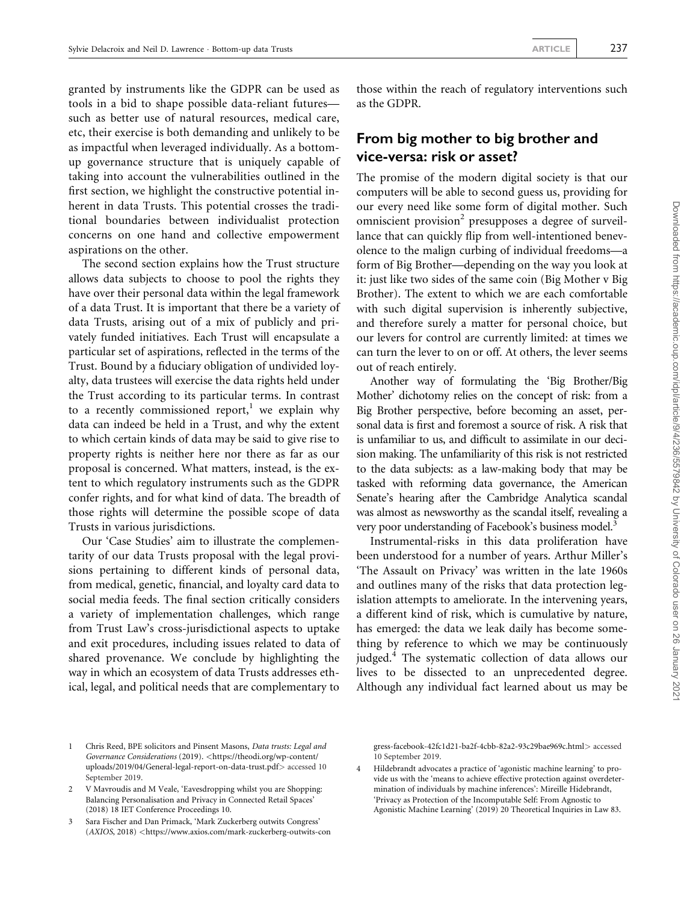granted by instruments like the GDPR can be used as tools in a bid to shape possible data-reliant futures such as better use of natural resources, medical care, etc, their exercise is both demanding and unlikely to be as impactful when leveraged individually. As a bottomup governance structure that is uniquely capable of taking into account the vulnerabilities outlined in the first section, we highlight the constructive potential inherent in data Trusts. This potential crosses the traditional boundaries between individualist protection concerns on one hand and collective empowerment aspirations on the other.

The second section explains how the Trust structure allows data subjects to choose to pool the rights they have over their personal data within the legal framework of a data Trust. It is important that there be a variety of data Trusts, arising out of a mix of publicly and privately funded initiatives. Each Trust will encapsulate a particular set of aspirations, reflected in the terms of the Trust. Bound by a fiduciary obligation of undivided loyalty, data trustees will exercise the data rights held under the Trust according to its particular terms. In contrast to a recently commissioned report, $1$  we explain why data can indeed be held in a Trust, and why the extent to which certain kinds of data may be said to give rise to property rights is neither here nor there as far as our proposal is concerned. What matters, instead, is the extent to which regulatory instruments such as the GDPR confer rights, and for what kind of data. The breadth of those rights will determine the possible scope of data Trusts in various jurisdictions.

Our 'Case Studies' aim to illustrate the complementarity of our data Trusts proposal with the legal provisions pertaining to different kinds of personal data, from medical, genetic, financial, and loyalty card data to social media feeds. The final section critically considers a variety of implementation challenges, which range from Trust Law's cross-jurisdictional aspects to uptake and exit procedures, including issues related to data of shared provenance. We conclude by highlighting the way in which an ecosystem of data Trusts addresses ethical, legal, and political needs that are complementary to those within the reach of regulatory interventions such as the GDPR.

# From big mother to big brother and vice-versa: risk or asset?

The promise of the modern digital society is that our computers will be able to second guess us, providing for our every need like some form of digital mother. Such omniscient provision<sup>2</sup> presupposes a degree of surveillance that can quickly flip from well-intentioned benevolence to the malign curbing of individual freedoms—a form of Big Brother—depending on the way you look at it: just like two sides of the same coin (Big Mother v Big Brother). The extent to which we are each comfortable with such digital supervision is inherently subjective, and therefore surely a matter for personal choice, but our levers for control are currently limited: at times we can turn the lever to on or off. At others, the lever seems out of reach entirely.

Another way of formulating the 'Big Brother/Big Mother' dichotomy relies on the concept of risk: from a Big Brother perspective, before becoming an asset, personal data is first and foremost a source of risk. A risk that is unfamiliar to us, and difficult to assimilate in our decision making. The unfamiliarity of this risk is not restricted to the data subjects: as a law-making body that may be tasked with reforming data governance, the American Senate's hearing after the Cambridge Analytica scandal was almost as newsworthy as the scandal itself, revealing a very poor understanding of Facebook's business model.<sup>3</sup>

Instrumental-risks in this data proliferation have been understood for a number of years. Arthur Miller's 'The Assault on Privacy' was written in the late 1960s and outlines many of the risks that data protection legislation attempts to ameliorate. In the intervening years, a different kind of risk, which is cumulative by nature, has emerged: the data we leak daily has become something by reference to which we may be continuously judged.<sup>4</sup> The systematic collection of data allows our lives to be dissected to an unprecedented degree. Although any individual fact learned about us may be

[gress-facebook-42fc1d21-ba2f-4cbb-82a2-93c29bae969c.html](https://www.axios.com/mark-zuckerberg-outwits-congress-facebook-42fc1d21-ba2f-4cbb-82a2-93c29bae969c.html)> accessed 10 September 2019.

<sup>1</sup> Chris Reed, BPE solicitors and Pinsent Masons, Data trusts: Legal and Governance Considerations (2019). <[https://theodi.org/wp-content/](https://theodi.org/wp-content/uploads/2019/04/General-legal-report-on-data-trust.pdf) [uploads/2019/04/General-legal-report-on-data-trust.pdf](https://theodi.org/wp-content/uploads/2019/04/General-legal-report-on-data-trust.pdf)> accessed 10 September 2019.

<sup>2</sup> V Mavroudis and M Veale, 'Eavesdropping whilst you are Shopping: Balancing Personalisation and Privacy in Connected Retail Spaces' (2018) 18 IET Conference Proceedings 10.

<sup>3</sup> Sara Fischer and Dan Primack, 'Mark Zuckerberg outwits Congress' (AXIOS, 2018) <[https://www.axios.com/mark-zuckerberg-outwits-con](https://www.axios.com/mark-zuckerberg-outwits-congress-facebook-42fc1d21-ba2f-4cbb-82a2-93c29bae969c.html)

<sup>4</sup> Hildebrandt advocates a practice of 'agonistic machine learning' to provide us with the 'means to achieve effective protection against overdetermination of individuals by machine inferences': Mireille Hidebrandt, 'Privacy as Protection of the Incomputable Self: From Agnostic to Agonistic Machine Learning' (2019) 20 Theoretical Inquiries in Law 83.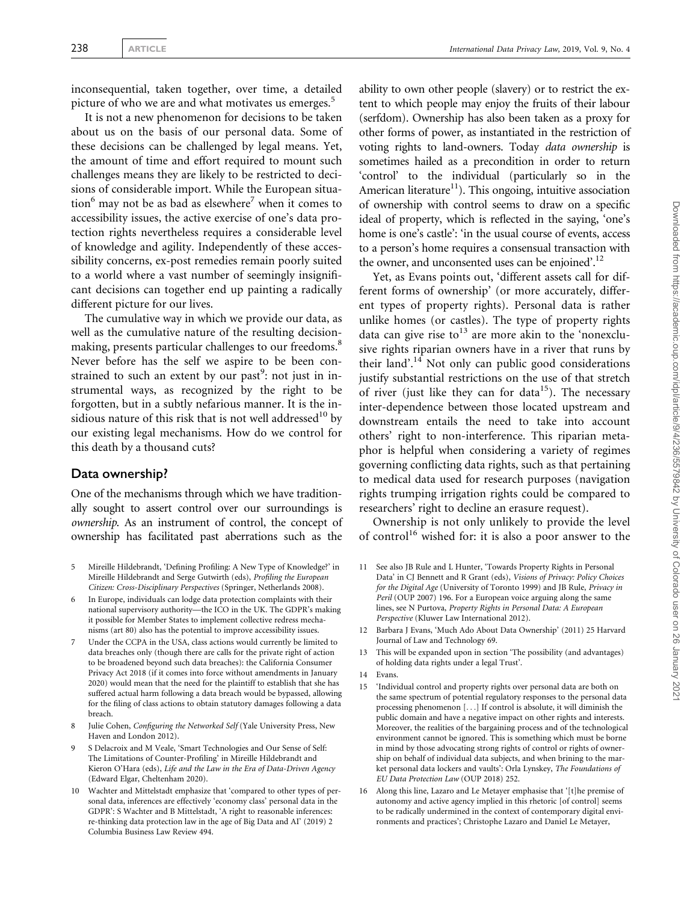inconsequential, taken together, over time, a detailed picture of who we are and what motivates us emerges.<sup>5</sup>

It is not a new phenomenon for decisions to be taken about us on the basis of our personal data. Some of these decisions can be challenged by legal means. Yet, the amount of time and effort required to mount such challenges means they are likely to be restricted to decisions of considerable import. While the European situation $^6$  may not be as bad as elsewhere<sup>7</sup> when it comes to accessibility issues, the active exercise of one's data protection rights nevertheless requires a considerable level of knowledge and agility. Independently of these accessibility concerns, ex-post remedies remain poorly suited to a world where a vast number of seemingly insignificant decisions can together end up painting a radically different picture for our lives.

The cumulative way in which we provide our data, as well as the cumulative nature of the resulting decisionmaking, presents particular challenges to our freedoms.<sup>8</sup> Never before has the self we aspire to be been constrained to such an extent by our past<sup>9</sup>: not just in instrumental ways, as recognized by the right to be forgotten, but in a subtly nefarious manner. It is the insidious nature of this risk that is not well addressed<sup>10</sup> by our existing legal mechanisms. How do we control for this death by a thousand cuts?

#### Data ownership?

One of the mechanisms through which we have traditionally sought to assert control over our surroundings is ownership. As an instrument of control, the concept of ownership has facilitated past aberrations such as the

- 5 Mireille Hildebrandt, 'Defining Profiling: A New Type of Knowledge?' in Mireille Hildebrandt and Serge Gutwirth (eds), Profiling the European Citizen: Cross-Disciplinary Perspectives (Springer, Netherlands 2008).
- In Europe, individuals can lodge data protection complaints with their national supervisory authority—the ICO in the UK. The GDPR's making it possible for Member States to implement collective redress mechanisms (art 80) also has the potential to improve accessibility issues.
- 7 Under the CCPA in the USA, class actions would currently be limited to data breaches only (though there are calls for the private right of action to be broadened beyond such data breaches): the California Consumer Privacy Act 2018 (if it comes into force without amendments in January 2020) would mean that the need for the plaintiff to establish that she has suffered actual harm following a data breach would be bypassed, allowing for the filing of class actions to obtain statutory damages following a data breach.
- 8 Julie Cohen, Configuring the Networked Self (Yale University Press, New Haven and London 2012).
- 9 S Delacroix and M Veale, 'Smart Technologies and Our Sense of Self: The Limitations of Counter-Profiling' in Mireille Hildebrandt and Kieron O'Hara (eds), Life and the Law in the Era of Data-Driven Agency (Edward Elgar, Cheltenham 2020).
- 10 Wachter and Mittelstadt emphasize that 'compared to other types of personal data, inferences are effectively 'economy class' personal data in the GDPR': S Wachter and B Mittelstadt, 'A right to reasonable inferences: re-thinking data protection law in the age of Big Data and AI' (2019) 2 Columbia Business Law Review 494.

ability to own other people (slavery) or to restrict the extent to which people may enjoy the fruits of their labour (serfdom). Ownership has also been taken as a proxy for other forms of power, as instantiated in the restriction of voting rights to land-owners. Today data ownership is sometimes hailed as a precondition in order to return 'control' to the individual (particularly so in the American literature<sup>11</sup>). This ongoing, intuitive association of ownership with control seems to draw on a specific ideal of property, which is reflected in the saying, 'one's home is one's castle': 'in the usual course of events, access to a person's home requires a consensual transaction with the owner, and unconsented uses can be enjoined<sup>'.12</sup>

Yet, as Evans points out, 'different assets call for different forms of ownership' (or more accurately, different types of property rights). Personal data is rather unlike homes (or castles). The type of property rights data can give rise to<sup>13</sup> are more akin to the 'nonexclusive rights riparian owners have in a river that runs by their land'.<sup>14</sup> Not only can public good considerations justify substantial restrictions on the use of that stretch of river (just like they can for data<sup>15</sup>). The necessary inter-dependence between those located upstream and downstream entails the need to take into account others' right to non-interference. This riparian metaphor is helpful when considering a variety of regimes governing conflicting data rights, such as that pertaining to medical data used for research purposes (navigation rights trumping irrigation rights could be compared to researchers' right to decline an erasure request).

Ownership is not only unlikely to provide the level of control<sup>16</sup> wished for: it is also a poor answer to the

- 11 See also JB Rule and L Hunter, 'Towards Property Rights in Personal Data' in CJ Bennett and R Grant (eds), Visions of Privacy: Policy Choices for the Digital Age (University of Toronto 1999) and JB Rule, Privacy in Peril (OUP 2007) 196. For a European voice arguing along the same lines, see N Purtova, Property Rights in Personal Data: A European Perspective (Kluwer Law International 2012).
- 12 Barbara J Evans, 'Much Ado About Data Ownership' (2011) 25 Harvard Journal of Law and Technology 69.
- 13 This will be expanded upon in section 'The possibility (and advantages) of holding data rights under a legal Trust'.
- 14 Evans.
- 15 'Individual control and property rights over personal data are both on the same spectrum of potential regulatory responses to the personal data processing phenomenon [...] If control is absolute, it will diminish the public domain and have a negative impact on other rights and interests. Moreover, the realities of the bargaining process and of the technological environment cannot be ignored. This is something which must be borne in mind by those advocating strong rights of control or rights of ownership on behalf of individual data subjects, and when brining to the market personal data lockers and vaults': Orla Lynskey, The Foundations of EU Data Protection Law (OUP 2018) 252.
- 16 Along this line, Lazaro and Le Metayer emphasise that '[t]he premise of autonomy and active agency implied in this rhetoric [of control] seems to be radically undermined in the context of contemporary digital environments and practices'; Christophe Lazaro and Daniel Le Metayer,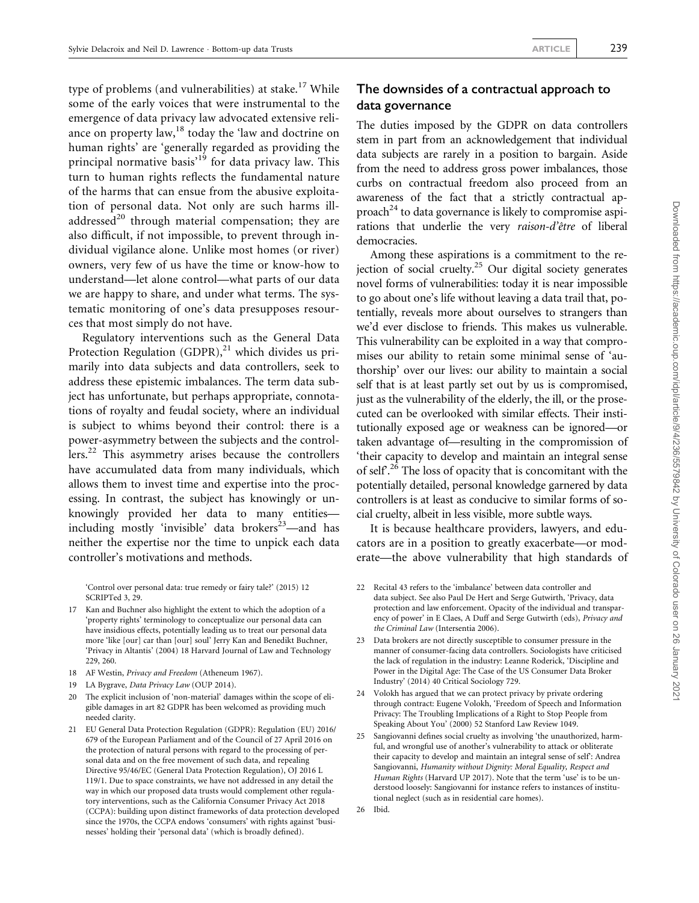type of problems (and vulnerabilities) at stake.<sup>17</sup> While some of the early voices that were instrumental to the emergence of data privacy law advocated extensive reliance on property law,<sup>18</sup> today the 'law and doctrine on human rights' are 'generally regarded as providing the principal normative basis<sup>'19</sup> for data privacy law. This turn to human rights reflects the fundamental nature of the harms that can ensue from the abusive exploitation of personal data. Not only are such harms illaddressed $^{20}$  through material compensation; they are also difficult, if not impossible, to prevent through individual vigilance alone. Unlike most homes (or river) owners, very few of us have the time or know-how to understand—let alone control—what parts of our data we are happy to share, and under what terms. The systematic monitoring of one's data presupposes resources that most simply do not have.

Regulatory interventions such as the General Data Protection Regulation (GDPR), $^{21}$  which divides us primarily into data subjects and data controllers, seek to address these epistemic imbalances. The term data subject has unfortunate, but perhaps appropriate, connotations of royalty and feudal society, where an individual is subject to whims beyond their control: there is a power-asymmetry between the subjects and the controllers.<sup>22</sup> This asymmetry arises because the controllers have accumulated data from many individuals, which allows them to invest time and expertise into the processing. In contrast, the subject has knowingly or unknowingly provided her data to many entities including mostly 'invisible' data brokers $23$ —and has neither the expertise nor the time to unpick each data controller's motivations and methods.

'Control over personal data: true remedy or fairy tale?' (2015) 12 SCRIPTed 3, 29.

- 17 Kan and Buchner also highlight the extent to which the adoption of a 'property rights' terminology to conceptualize our personal data can have insidious effects, potentially leading us to treat our personal data more 'like [our] car than [our] soul' Jerry Kan and Benedikt Buchner, 'Privacy in Altantis' (2004) 18 Harvard Journal of Law and Technology 229, 260.
- 18 AF Westin, Privacy and Freedom (Atheneum 1967).
- 19 LA Bygrave, Data Privacy Law (OUP 2014).
- 20 The explicit inclusion of 'non-material' damages within the scope of eligible damages in art 82 GDPR has been welcomed as providing much needed clarity.
- 21 EU General Data Protection Regulation (GDPR): Regulation (EU) 2016/ 679 of the European Parliament and of the Council of 27 April 2016 on the protection of natural persons with regard to the processing of personal data and on the free movement of such data, and repealing Directive 95/46/EC (General Data Protection Regulation), OJ 2016 L 119/1. Due to space constraints, we have not addressed in any detail the way in which our proposed data trusts would complement other regulatory interventions, such as the California Consumer Privacy Act 2018 (CCPA): building upon distinct frameworks of data protection developed since the 1970s, the CCPA endows 'consumers' with rights against 'businesses' holding their 'personal data' (which is broadly defined).

## The downsides of a contractual approach to data governance

The duties imposed by the GDPR on data controllers stem in part from an acknowledgement that individual data subjects are rarely in a position to bargain. Aside from the need to address gross power imbalances, those curbs on contractual freedom also proceed from an awareness of the fact that a strictly contractual approach<sup>24</sup> to data governance is likely to compromise aspirations that underlie the very raison-d'être of liberal democracies.

Among these aspirations is a commitment to the rejection of social cruelty.<sup>25</sup> Our digital society generates novel forms of vulnerabilities: today it is near impossible to go about one's life without leaving a data trail that, potentially, reveals more about ourselves to strangers than we'd ever disclose to friends. This makes us vulnerable. This vulnerability can be exploited in a way that compromises our ability to retain some minimal sense of 'authorship' over our lives: our ability to maintain a social self that is at least partly set out by us is compromised, just as the vulnerability of the elderly, the ill, or the prosecuted can be overlooked with similar effects. Their institutionally exposed age or weakness can be ignored—or taken advantage of—resulting in the compromission of 'their capacity to develop and maintain an integral sense of self<sup>26</sup>. The loss of opacity that is concomitant with the potentially detailed, personal knowledge garnered by data controllers is at least as conducive to similar forms of social cruelty, albeit in less visible, more subtle ways.

It is because healthcare providers, lawyers, and educators are in a position to greatly exacerbate—or moderate—the above vulnerability that high standards of

- 24 Volokh has argued that we can protect privacy by private ordering through contract: Eugene Volokh, 'Freedom of Speech and Information Privacy: The Troubling Implications of a Right to Stop People from Speaking About You' (2000) 52 Stanford Law Review 1049.
- 25 Sangiovanni defines social cruelty as involving 'the unauthorized, harmful, and wrongful use of another's vulnerability to attack or obliterate their capacity to develop and maintain an integral sense of self': Andrea Sangiovanni, Humanity without Dignity: Moral Equality, Respect and Human Rights (Harvard UP 2017). Note that the term 'use' is to be understood loosely: Sangiovanni for instance refers to instances of institutional neglect (such as in residential care homes).
- 26 Ibid.

<sup>22</sup> Recital 43 refers to the 'imbalance' between data controller and data subject. See also Paul De Hert and Serge Gutwirth, 'Privacy, data protection and law enforcement. Opacity of the individual and transparency of power' in E Claes, A Duff and Serge Gutwirth (eds), Privacy and the Criminal Law (Intersentia 2006).

<sup>23</sup> Data brokers are not directly susceptible to consumer pressure in the manner of consumer-facing data controllers. Sociologists have criticised the lack of regulation in the industry: Leanne Roderick, 'Discipline and Power in the Digital Age: The Case of the US Consumer Data Broker Industry' (2014) 40 Critical Sociology 729.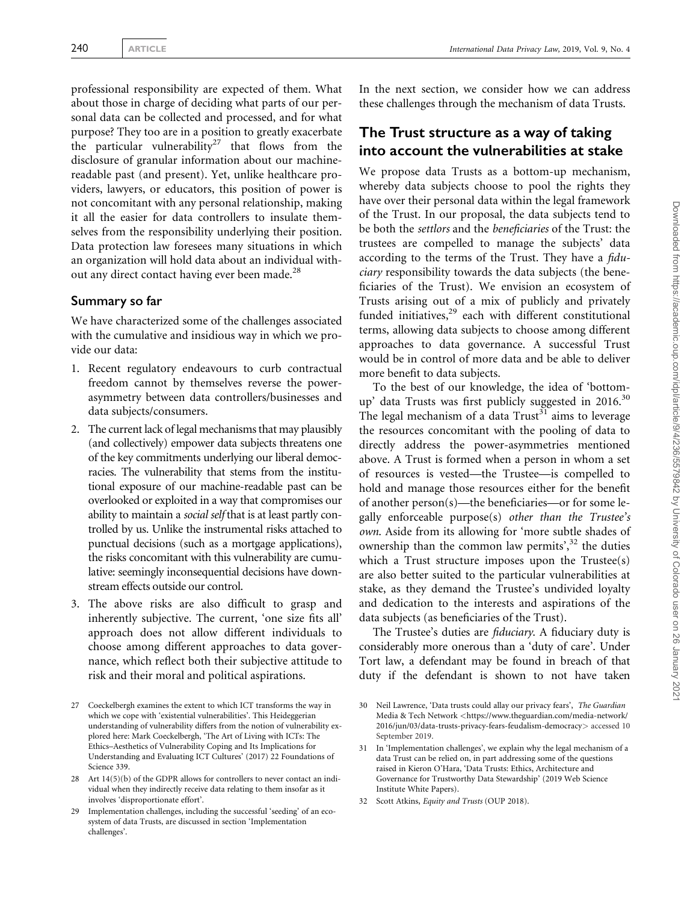professional responsibility are expected of them. What about those in charge of deciding what parts of our personal data can be collected and processed, and for what purpose? They too are in a position to greatly exacerbate the particular vulnerability<sup>27</sup> that flows from the disclosure of granular information about our machinereadable past (and present). Yet, unlike healthcare providers, lawyers, or educators, this position of power is not concomitant with any personal relationship, making it all the easier for data controllers to insulate themselves from the responsibility underlying their position. Data protection law foresees many situations in which an organization will hold data about an individual without any direct contact having ever been made.<sup>28</sup>

#### Summary so far

We have characterized some of the challenges associated with the cumulative and insidious way in which we provide our data:

- 1. Recent regulatory endeavours to curb contractual freedom cannot by themselves reverse the powerasymmetry between data controllers/businesses and data subjects/consumers.
- 2. The current lack of legal mechanisms that may plausibly (and collectively) empower data subjects threatens one of the key commitments underlying our liberal democracies. The vulnerability that stems from the institutional exposure of our machine-readable past can be overlooked or exploited in a way that compromises our ability to maintain a social self that is at least partly controlled by us. Unlike the instrumental risks attached to punctual decisions (such as a mortgage applications), the risks concomitant with this vulnerability are cumulative: seemingly inconsequential decisions have downstream effects outside our control.
- 3. The above risks are also difficult to grasp and inherently subjective. The current, 'one size fits all' approach does not allow different individuals to choose among different approaches to data governance, which reflect both their subjective attitude to risk and their moral and political aspirations.

In the next section, we consider how we can address these challenges through the mechanism of data Trusts.

# The Trust structure as a way of taking into account the vulnerabilities at stake

We propose data Trusts as a bottom-up mechanism, whereby data subjects choose to pool the rights they have over their personal data within the legal framework of the Trust. In our proposal, the data subjects tend to be both the settlors and the beneficiaries of the Trust: the trustees are compelled to manage the subjects' data according to the terms of the Trust. They have a fiduciary responsibility towards the data subjects (the beneficiaries of the Trust). We envision an ecosystem of Trusts arising out of a mix of publicly and privately funded initiatives, $29$  each with different constitutional terms, allowing data subjects to choose among different approaches to data governance. A successful Trust would be in control of more data and be able to deliver more benefit to data subjects.

To the best of our knowledge, the idea of 'bottomup' data Trusts was first publicly suggested in 2016.<sup>30</sup> The legal mechanism of a data  $Trust<sup>31</sup>$  aims to leverage the resources concomitant with the pooling of data to directly address the power-asymmetries mentioned above. A Trust is formed when a person in whom a set of resources is vested—the Trustee—is compelled to hold and manage those resources either for the benefit of another person(s)—the beneficiaries—or for some legally enforceable purpose(s) other than the Trustee's own. Aside from its allowing for 'more subtle shades of ownership than the common law permits', $3<sup>22</sup>$  the duties which a Trust structure imposes upon the Trustee(s) are also better suited to the particular vulnerabilities at stake, as they demand the Trustee's undivided loyalty and dedication to the interests and aspirations of the data subjects (as beneficiaries of the Trust).

The Trustee's duties are *fiduciary*. A fiduciary duty is considerably more onerous than a 'duty of care'. Under Tort law, a defendant may be found in breach of that duty if the defendant is shown to not have taken

<sup>27</sup> Coeckelbergh examines the extent to which ICT transforms the way in which we cope with 'existential vulnerabilities'. This Heideggerian understanding of vulnerability differs from the notion of vulnerability explored here: Mark Coeckelbergh, 'The Art of Living with ICTs: The Ethics–Aesthetics of Vulnerability Coping and Its Implications for Understanding and Evaluating ICT Cultures' (2017) 22 Foundations of Science 339.

Art  $14(5)(b)$  of the GDPR allows for controllers to never contact an individual when they indirectly receive data relating to them insofar as it involves 'disproportionate effort'.

<sup>29</sup> Implementation challenges, including the successful 'seeding' of an ecosystem of data Trusts, are discussed in section 'Implementation challenges'.

<sup>30</sup> Neil Lawrence, 'Data trusts could allay our privacy fears', The Guardian Media & Tech Network <[https://www.theguardian.com/media-network/](https://www.theguardian.com/media-network/2016/jun/03/data-trusts-privacy-fears-feudalism-democracy) [2016/jun/03/data-trusts-privacy-fears-feudalism-democracy](https://www.theguardian.com/media-network/2016/jun/03/data-trusts-privacy-fears-feudalism-democracy)> accessed 10 September 2019.

<sup>31</sup> In 'Implementation challenges', we explain why the legal mechanism of a data Trust can be relied on, in part addressing some of the questions raised in Kieron O'Hara, 'Data Trusts: Ethics, Architecture and Governance for Trustworthy Data Stewardship' (2019 Web Science Institute White Papers).

<sup>32</sup> Scott Atkins, Equity and Trusts (OUP 2018).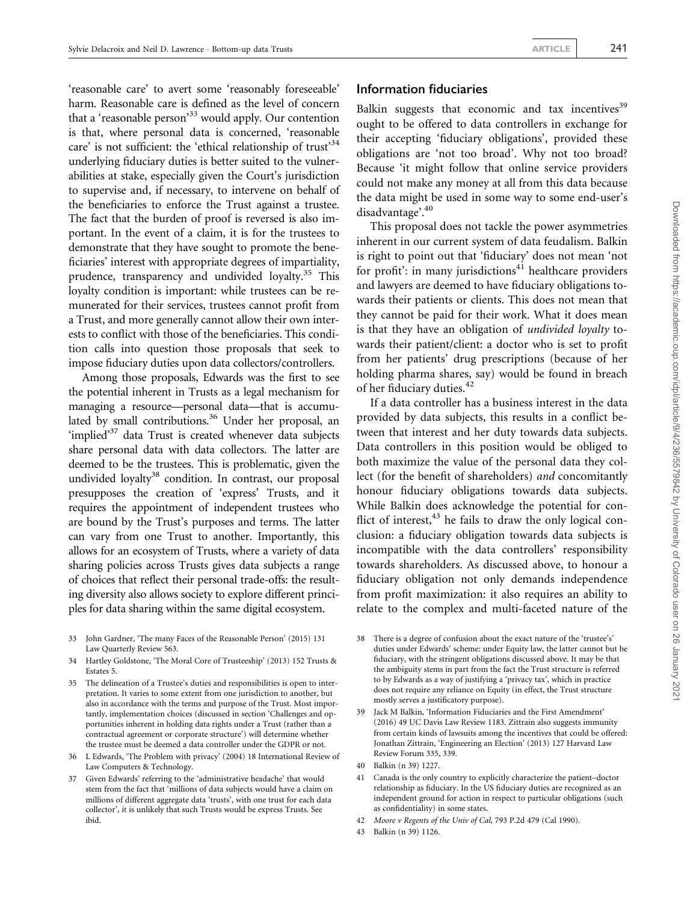'reasonable care' to avert some 'reasonably foreseeable' harm. Reasonable care is defined as the level of concern that a 'reasonable person'33 would apply. Our contention is that, where personal data is concerned, 'reasonable care' is not sufficient: the 'ethical relationship of trust'<sup>34</sup> underlying fiduciary duties is better suited to the vulnerabilities at stake, especially given the Court's jurisdiction to supervise and, if necessary, to intervene on behalf of the beneficiaries to enforce the Trust against a trustee. The fact that the burden of proof is reversed is also important. In the event of a claim, it is for the trustees to demonstrate that they have sought to promote the beneficiaries' interest with appropriate degrees of impartiality, prudence, transparency and undivided loyalty.<sup>35</sup> This loyalty condition is important: while trustees can be remunerated for their services, trustees cannot profit from a Trust, and more generally cannot allow their own interests to conflict with those of the beneficiaries. This condition calls into question those proposals that seek to impose fiduciary duties upon data collectors/controllers.

Among those proposals, Edwards was the first to see the potential inherent in Trusts as a legal mechanism for managing a resource—personal data—that is accumulated by small contributions.<sup>36</sup> Under her proposal, an 'implied'<sup>37</sup> data Trust is created whenever data subjects share personal data with data collectors. The latter are deemed to be the trustees. This is problematic, given the undivided loyalty<sup>38</sup> condition. In contrast, our proposal presupposes the creation of 'express' Trusts, and it requires the appointment of independent trustees who are bound by the Trust's purposes and terms. The latter can vary from one Trust to another. Importantly, this allows for an ecosystem of Trusts, where a variety of data sharing policies across Trusts gives data subjects a range of choices that reflect their personal trade-offs: the resulting diversity also allows society to explore different principles for data sharing within the same digital ecosystem.

- 33 John Gardner, 'The many Faces of the Reasonable Person' (2015) 131 Law Quarterly Review 563.
- 34 Hartley Goldstone, 'The Moral Core of Trusteeship' (2013) 152 Trusts & Estates 5.
- 35 The delineation of a Trustee's duties and responsibilities is open to interpretation. It varies to some extent from one jurisdiction to another, but also in accordance with the terms and purpose of the Trust. Most importantly, implementation choices (discussed in section 'Challenges and opportunities inherent in holding data rights under a Trust (rather than a contractual agreement or corporate structure') will determine whether the trustee must be deemed a data controller under the GDPR or not.
- 36 L Edwards, 'The Problem with privacy' (2004) 18 International Review of Law Computers & Technology.
- 37 Given Edwards' referring to the 'administrative headache' that would stem from the fact that 'millions of data subjects would have a claim on millions of different aggregate data 'trusts', with one trust for each data collector', it is unlikely that such Trusts would be express Trusts. See ibid.

#### Information fiduciaries

Balkin suggests that economic and tax incentives<sup>39</sup> ought to be offered to data controllers in exchange for their accepting 'fiduciary obligations', provided these obligations are 'not too broad'. Why not too broad? Because 'it might follow that online service providers could not make any money at all from this data because the data might be used in some way to some end-user's disadvantage'.<sup>40</sup>

This proposal does not tackle the power asymmetries inherent in our current system of data feudalism. Balkin is right to point out that 'fiduciary' does not mean 'not for profit': in many jurisdictions<sup>41</sup> healthcare providers and lawyers are deemed to have fiduciary obligations towards their patients or clients. This does not mean that they cannot be paid for their work. What it does mean is that they have an obligation of undivided loyalty towards their patient/client: a doctor who is set to profit from her patients' drug prescriptions (because of her holding pharma shares, say) would be found in breach of her fiduciary duties.<sup>42</sup>

If a data controller has a business interest in the data provided by data subjects, this results in a conflict between that interest and her duty towards data subjects. Data controllers in this position would be obliged to both maximize the value of the personal data they collect (for the benefit of shareholders) and concomitantly honour fiduciary obligations towards data subjects. While Balkin does acknowledge the potential for conflict of interest, $43$  he fails to draw the only logical conclusion: a fiduciary obligation towards data subjects is incompatible with the data controllers' responsibility towards shareholders. As discussed above, to honour a fiduciary obligation not only demands independence from profit maximization: it also requires an ability to relate to the complex and multi-faceted nature of the

- 41 Canada is the only country to explicitly characterize the patient–doctor relationship as fiduciary. In the US fiduciary duties are recognized as an independent ground for action in respect to particular obligations (such as confidentiality) in some states.
- 42 Moore v Regents of the Univ of Cal, 793 P.2d 479 (Cal 1990).
- 43 Balkin (n 39) 1126.

<sup>38</sup> There is a degree of confusion about the exact nature of the 'trustee's' duties under Edwards' scheme: under Equity law, the latter cannot but be fiduciary, with the stringent obligations discussed above. It may be that the ambiguity stems in part from the fact the Trust structure is referred to by Edwards as a way of justifying a 'privacy tax', which in practice does not require any reliance on Equity (in effect, the Trust structure mostly serves a justificatory purpose).

<sup>39</sup> Jack M Balkin, 'Information Fiduciaries and the First Amendment' (2016) 49 UC Davis Law Review 1183. Zittrain also suggests immunity from certain kinds of lawsuits among the incentives that could be offered: Jonathan Zittrain, 'Engineering an Election' (2013) 127 Harvard Law Review Forum 335, 339.

<sup>40</sup> Balkin (n 39) 1227.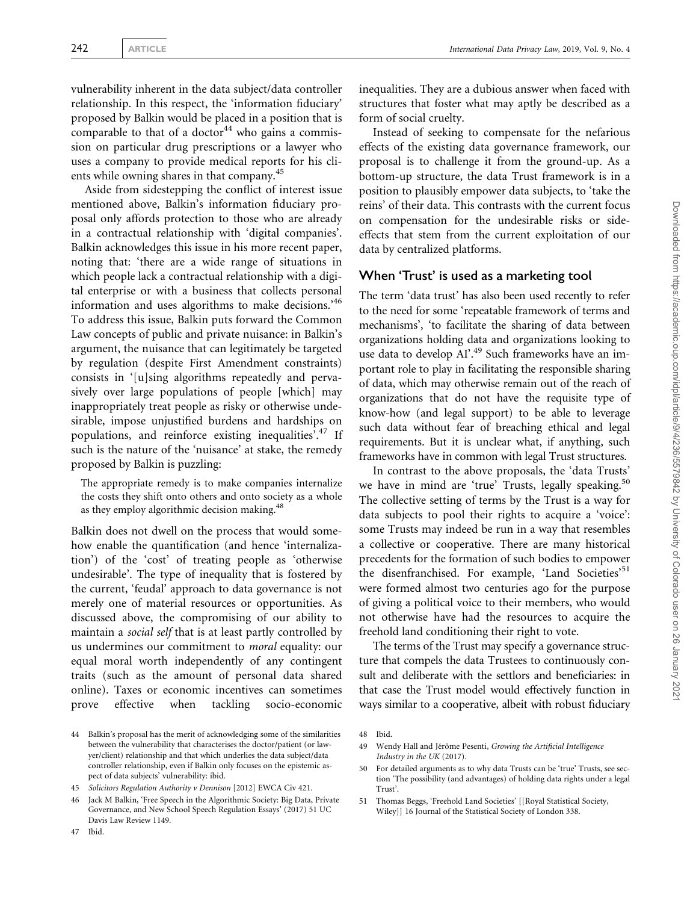vulnerability inherent in the data subject/data controller relationship. In this respect, the 'information fiduciary' proposed by Balkin would be placed in a position that is comparable to that of a doctor $44$  who gains a commission on particular drug prescriptions or a lawyer who uses a company to provide medical reports for his clients while owning shares in that company.45

Aside from sidestepping the conflict of interest issue mentioned above, Balkin's information fiduciary proposal only affords protection to those who are already in a contractual relationship with 'digital companies'. Balkin acknowledges this issue in his more recent paper, noting that: 'there are a wide range of situations in which people lack a contractual relationship with a digital enterprise or with a business that collects personal information and uses algorithms to make decisions.'<sup>46</sup> To address this issue, Balkin puts forward the Common Law concepts of public and private nuisance: in Balkin's argument, the nuisance that can legitimately be targeted by regulation (despite First Amendment constraints) consists in '[u]sing algorithms repeatedly and pervasively over large populations of people [which] may inappropriately treat people as risky or otherwise undesirable, impose unjustified burdens and hardships on populations, and reinforce existing inequalities'.47 If such is the nature of the 'nuisance' at stake, the remedy proposed by Balkin is puzzling:

The appropriate remedy is to make companies internalize the costs they shift onto others and onto society as a whole as they employ algorithmic decision making.<sup>48</sup>

Balkin does not dwell on the process that would somehow enable the quantification (and hence 'internalization') of the 'cost' of treating people as 'otherwise undesirable'. The type of inequality that is fostered by the current, 'feudal' approach to data governance is not merely one of material resources or opportunities. As discussed above, the compromising of our ability to maintain a social self that is at least partly controlled by us undermines our commitment to moral equality: our equal moral worth independently of any contingent traits (such as the amount of personal data shared online). Taxes or economic incentives can sometimes prove effective when tackling socio-economic

47 Ibid.

inequalities. They are a dubious answer when faced with structures that foster what may aptly be described as a form of social cruelty.

Instead of seeking to compensate for the nefarious effects of the existing data governance framework, our proposal is to challenge it from the ground-up. As a bottom-up structure, the data Trust framework is in a position to plausibly empower data subjects, to 'take the reins' of their data. This contrasts with the current focus on compensation for the undesirable risks or sideeffects that stem from the current exploitation of our data by centralized platforms.

#### When 'Trust' is used as a marketing tool

The term 'data trust' has also been used recently to refer to the need for some 'repeatable framework of terms and mechanisms', 'to facilitate the sharing of data between organizations holding data and organizations looking to use data to develop AI'.<sup>49</sup> Such frameworks have an important role to play in facilitating the responsible sharing of data, which may otherwise remain out of the reach of organizations that do not have the requisite type of know-how (and legal support) to be able to leverage such data without fear of breaching ethical and legal requirements. But it is unclear what, if anything, such frameworks have in common with legal Trust structures.

In contrast to the above proposals, the 'data Trusts' we have in mind are 'true' Trusts, legally speaking.<sup>50</sup> The collective setting of terms by the Trust is a way for data subjects to pool their rights to acquire a 'voice': some Trusts may indeed be run in a way that resembles a collective or cooperative. There are many historical precedents for the formation of such bodies to empower the disenfranchised. For example, 'Land Societies'<sup>51</sup> were formed almost two centuries ago for the purpose of giving a political voice to their members, who would not otherwise have had the resources to acquire the freehold land conditioning their right to vote.

The terms of the Trust may specify a governance structure that compels the data Trustees to continuously consult and deliberate with the settlors and beneficiaries: in that case the Trust model would effectively function in ways similar to a cooperative, albeit with robust fiduciary

50 For detailed arguments as to why data Trusts can be 'true' Trusts, see section 'The possibility (and advantages) of holding data rights under a legal Trust'.

<sup>44</sup> Balkin's proposal has the merit of acknowledging some of the similarities between the vulnerability that characterises the doctor/patient (or lawyer/client) relationship and that which underlies the data subject/data controller relationship, even if Balkin only focuses on the epistemic aspect of data subjects' vulnerability: ibid.

<sup>45</sup> Solicitors Regulation Authority v Dennison [2012] EWCA Civ 421.

Jack M Balkin, 'Free Speech in the Algorithmic Society: Big Data, Private Governance, and New School Speech Regulation Essays' (2017) 51 UC Davis Law Review 1149.

<sup>48</sup> Ibid.

<sup>49</sup> Wendy Hall and Jérôme Pesenti, Growing the Artificial Intelligence Industry in the UK (2017).

<sup>51</sup> Thomas Beggs, 'Freehold Land Societies' [[Royal Statistical Society, Wiley]] 16 Journal of the Statistical Society of London 338.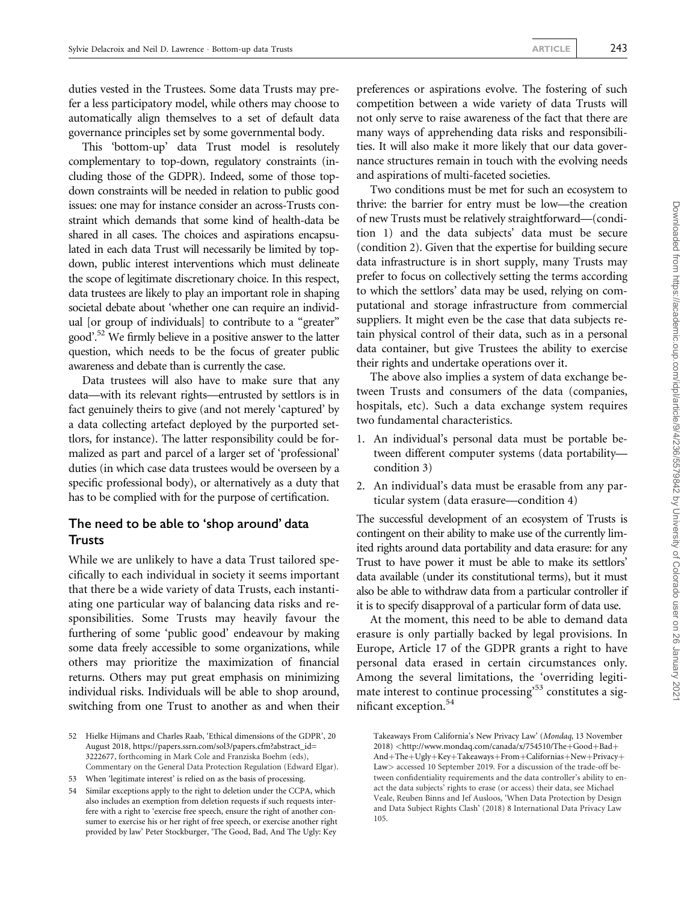duties vested in the Trustees. Some data Trusts may prefer a less participatory model, while others may choose to automatically align themselves to a set of default data governance principles set by some governmental body.

This 'bottom-up' data Trust model is resolutely complementary to top-down, regulatory constraints (including those of the GDPR). Indeed, some of those topdown constraints will be needed in relation to public good issues: one may for instance consider an across-Trusts constraint which demands that some kind of health-data be shared in all cases. The choices and aspirations encapsulated in each data Trust will necessarily be limited by topdown, public interest interventions which must delineate the scope of legitimate discretionary choice. In this respect, data trustees are likely to play an important role in shaping societal debate about 'whether one can require an individual [or group of individuals] to contribute to a "greater" good'.52 We firmly believe in a positive answer to the latter question, which needs to be the focus of greater public awareness and debate than is currently the case.

Data trustees will also have to make sure that any data—with its relevant rights—entrusted by settlors is in fact genuinely theirs to give (and not merely 'captured' by a data collecting artefact deployed by the purported settlors, for instance). The latter responsibility could be formalized as part and parcel of a larger set of 'professional' duties (in which case data trustees would be overseen by a specific professional body), or alternatively as a duty that has to be complied with for the purpose of certification.

## The need to be able to 'shop around' data **Trusts**

While we are unlikely to have a data Trust tailored specifically to each individual in society it seems important that there be a wide variety of data Trusts, each instantiating one particular way of balancing data risks and responsibilities. Some Trusts may heavily favour the furthering of some 'public good' endeavour by making some data freely accessible to some organizations, while others may prioritize the maximization of financial returns. Others may put great emphasis on minimizing individual risks. Individuals will be able to shop around, switching from one Trust to another as and when their preferences or aspirations evolve. The fostering of such competition between a wide variety of data Trusts will not only serve to raise awareness of the fact that there are many ways of apprehending data risks and responsibilities. It will also make it more likely that our data governance structures remain in touch with the evolving needs and aspirations of multi-faceted societies.

Two conditions must be met for such an ecosystem to thrive: the barrier for entry must be low—the creation of new Trusts must be relatively straightforward—(condition 1) and the data subjects' data must be secure (condition 2). Given that the expertise for building secure data infrastructure is in short supply, many Trusts may prefer to focus on collectively setting the terms according to which the settlors' data may be used, relying on computational and storage infrastructure from commercial suppliers. It might even be the case that data subjects retain physical control of their data, such as in a personal data container, but give Trustees the ability to exercise their rights and undertake operations over it.

The above also implies a system of data exchange between Trusts and consumers of the data (companies, hospitals, etc). Such a data exchange system requires two fundamental characteristics.

- 1. An individual's personal data must be portable between different computer systems (data portability condition 3)
- 2. An individual's data must be erasable from any particular system (data erasure—condition 4)

The successful development of an ecosystem of Trusts is contingent on their ability to make use of the currently limited rights around data portability and data erasure: for any Trust to have power it must be able to make its settlors' data available (under its constitutional terms), but it must also be able to withdraw data from a particular controller if it is to specify disapproval of a particular form of data use.

At the moment, this need to be able to demand data erasure is only partially backed by legal provisions. In Europe, Article 17 of the GDPR grants a right to have personal data erased in certain circumstances only. Among the several limitations, the 'overriding legitimate interest to continue processing<sup>53</sup> constitutes a significant exception.<sup>54</sup>

<sup>52</sup> Hielke Hijmans and Charles Raab, 'Ethical dimensions of the GDPR', 20 August 2018, [https://papers.ssrn.com/sol3/papers.cfm?abstract\\_id=](https://papers.ssrn.com/sol3/papers.cfm?abstract_id=3222677) [3222677](https://papers.ssrn.com/sol3/papers.cfm?abstract_id=3222677), forthcoming in Mark Cole and Franziska Boehm (eds), Commentary on the General Data Protection Regulation (Edward Elgar).

<sup>53</sup> When 'legitimate interest' is relied on as the basis of processing.

Similar exceptions apply to the right to deletion under the CCPA, which also includes an exemption from deletion requests if such requests interfere with a right to 'exercise free speech, ensure the right of another consumer to exercise his or her right of free speech, or exercise another right provided by law' Peter Stockburger, 'The Good, Bad, And The Ugly: Key

Takeaways From California's New Privacy Law' (Mondaq, 13 November  $2018$ ) <[http://www.mondaq.com/canada/x/754510/The](http://www.mondaq.com/canada/x/754510/The+Good+Bad+And+The+Ugly+Key+Takeaways+From+Californias+New+Privacy+Law)+[Good](http://www.mondaq.com/canada/x/754510/The+Good+Bad+And+The+Ugly+Key+Takeaways+From+Californias+New+Privacy+Law)+[Bad](http://www.mondaq.com/canada/x/754510/The+Good+Bad+And+The+Ugly+Key+Takeaways+From+Californias+New+Privacy+Law)+ [And](http://www.mondaq.com/canada/x/754510/The+Good+Bad+And+The+Ugly+Key+Takeaways+From+Californias+New+Privacy+Law)+[The](http://www.mondaq.com/canada/x/754510/The+Good+Bad+And+The+Ugly+Key+Takeaways+From+Californias+New+Privacy+Law)+[Ugly](http://www.mondaq.com/canada/x/754510/The+Good+Bad+And+The+Ugly+Key+Takeaways+From+Californias+New+Privacy+Law)+[Key](http://www.mondaq.com/canada/x/754510/The+Good+Bad+And+The+Ugly+Key+Takeaways+From+Californias+New+Privacy+Law)+[Takeaways](http://www.mondaq.com/canada/x/754510/The+Good+Bad+And+The+Ugly+Key+Takeaways+From+Californias+New+Privacy+Law)+[From](http://www.mondaq.com/canada/x/754510/The+Good+Bad+And+The+Ugly+Key+Takeaways+From+Californias+New+Privacy+Law)+[Californias](http://www.mondaq.com/canada/x/754510/The+Good+Bad+And+The+Ugly+Key+Takeaways+From+Californias+New+Privacy+Law)+[New](http://www.mondaq.com/canada/x/754510/The+Good+Bad+And+The+Ugly+Key+Takeaways+From+Californias+New+Privacy+Law)+[Privacy](http://www.mondaq.com/canada/x/754510/The+Good+Bad+And+The+Ugly+Key+Takeaways+From+Californias+New+Privacy+Law)+ [Law](http://www.mondaq.com/canada/x/754510/The+Good+Bad+And+The+Ugly+Key+Takeaways+From+Californias+New+Privacy+Law)> accessed 10 September 2019. For a discussion of the trade-off between confidentiality requirements and the data controller's ability to enact the data subjects' rights to erase (or access) their data, see Michael Veale, Reuben Binns and Jef Ausloos, 'When Data Protection by Design and Data Subject Rights Clash' (2018) 8 International Data Privacy Law 105.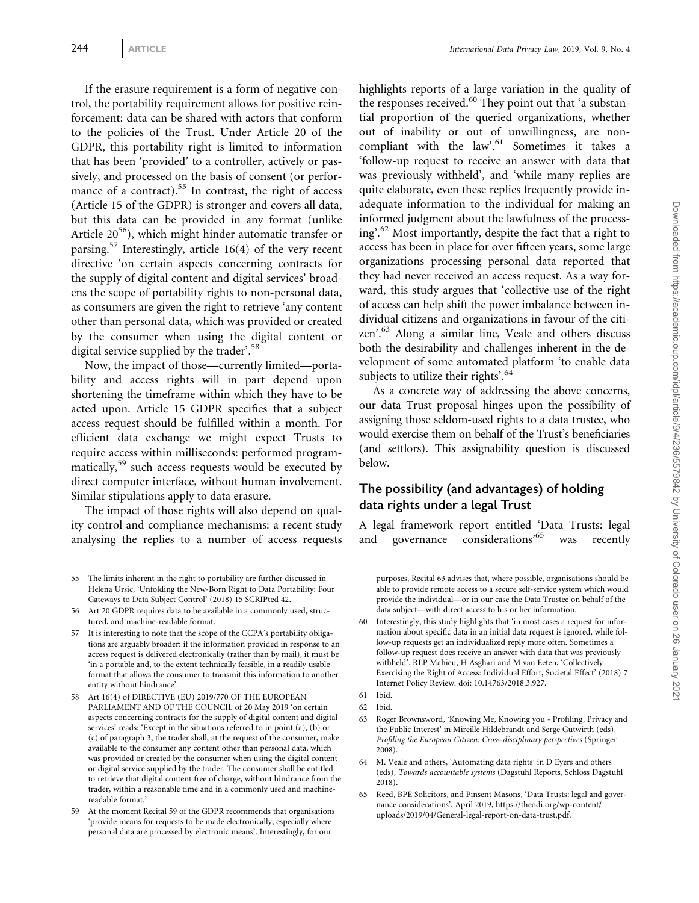If the erasure requirement is a form of negative control, the portability requirement allows for positive reinforcement: data can be shared with actors that conform to the policies of the Trust. Under Article 20 of the GDPR, this portability right is limited to information that has been 'provided' to a controller, actively or passively, and processed on the basis of consent (or performance of a contract).<sup>55</sup> In contrast, the right of access (Article 15 of the GDPR) is stronger and covers all data, but this data can be provided in any format (unlike Article  $20^{56}$ ), which might hinder automatic transfer or parsing.<sup>57</sup> Interestingly, article 16(4) of the very recent directive 'on certain aspects concerning contracts for the supply of digital content and digital services' broadens the scope of portability rights to non-personal data, as consumers are given the right to retrieve 'any content other than personal data, which was provided or created by the consumer when using the digital content or digital service supplied by the trader'.<sup>58</sup>

Now, the impact of those—currently limited—portability and access rights will in part depend upon shortening the timeframe within which they have to be acted upon. Article 15 GDPR specifies that a subject access request should be fulfilled within a month. For efficient data exchange we might expect Trusts to require access within milliseconds: performed programmatically,<sup>59</sup> such access requests would be executed by direct computer interface, without human involvement. Similar stipulations apply to data erasure.

The impact of those rights will also depend on quality control and compliance mechanisms: a recent study analysing the replies to a number of access requests

- Art 20 GDPR requires data to be available in a commonly used, structured, and machine-readable format.
- 57 It is interesting to note that the scope of the CCPA's portability obligations are arguably broader: if the information provided in response to an access request is delivered electronically (rather than by mail), it must be 'in a portable and, to the extent technically feasible, in a readily usable format that allows the consumer to transmit this information to another entity without hindrance'.
- 58 Art 16(4) of DIRECTIVE (EU) 2019/770 OF THE EUROPEAN PARLIAMENT AND OF THE COUNCIL of 20 May 2019 'on certain aspects concerning contracts for the supply of digital content and digital services' reads: 'Except in the situations referred to in point (a), (b) or (c) of paragraph 3, the trader shall, at the request of the consumer, make available to the consumer any content other than personal data, which was provided or created by the consumer when using the digital content or digital service supplied by the trader. The consumer shall be entitled to retrieve that digital content free of charge, without hindrance from the trader, within a reasonable time and in a commonly used and machinereadable format.'
- 59 At the moment Recital 59 of the GDPR recommends that organisations 'provide means for requests to be made electronically, especially where personal data are processed by electronic means'. Interestingly, for our

highlights reports of a large variation in the quality of the responses received.<sup>60</sup> They point out that 'a substantial proportion of the queried organizations, whether out of inability or out of unwillingness, are noncompliant with the law'.<sup>61</sup> Sometimes it takes a 'follow-up request to receive an answer with data that was previously withheld', and 'while many replies are quite elaborate, even these replies frequently provide inadequate information to the individual for making an informed judgment about the lawfulness of the processing'.<sup>62</sup> Most importantly, despite the fact that a right to access has been in place for over fifteen years, some large organizations processing personal data reported that they had never received an access request. As a way forward, this study argues that 'collective use of the right of access can help shift the power imbalance between individual citizens and organizations in favour of the citizen'.63 Along a similar line, Veale and others discuss both the desirability and challenges inherent in the development of some automated platform 'to enable data subjects to utilize their rights'.<sup>64</sup>

As a concrete way of addressing the above concerns, our data Trust proposal hinges upon the possibility of assigning those seldom-used rights to a data trustee, who would exercise them on behalf of the Trust's beneficiaries (and settlors). This assignability question is discussed below.

## The possibility (and advantages) of holding data rights under a legal Trust

A legal framework report entitled 'Data Trusts: legal and governance considerations<sup>'65</sup> was recently

purposes, Recital 63 advises that, where possible, organisations should be able to provide remote access to a secure self-service system which would provide the individual—or in our case the Data Trustee on behalf of the data subject—with direct access to his or her information.

60 Interestingly, this study highlights that 'in most cases a request for information about specific data in an initial data request is ignored, while follow-up requests get an individualized reply more often. Sometimes a follow-up request does receive an answer with data that was previously withheld'. RLP Mahieu, H Asghari and M van Eeten, 'Collectively Exercising the Right of Access: Individual Effort, Societal Effect' (2018) 7 Internet Policy Review. doi: 10.14763/2018.3.927.

- 64 M. Veale and others, 'Automating data rights' in D Eyers and others (eds), Towards accountable systems (Dagstuhl Reports, Schloss Dagstuhl 2018).
- 65 Reed, BPE Solicitors, and Pinsent Masons, 'Data Trusts: legal and governance considerations', April 2019, [https://theodi.org/wp-content/](https://theodi.org/wp-content/uploads/2019/04/General-legal-report-on-data-trust.pdf) [uploads/2019/04/General-legal-report-on-data-trust.pdf](https://theodi.org/wp-content/uploads/2019/04/General-legal-report-on-data-trust.pdf).

<sup>55</sup> The limits inherent in the right to portability are further discussed in Helena Ursic, 'Unfolding the New-Born Right to Data Portability: Four Gateways to Data Subject Control' (2018) 15 SCRIPted 42.

<sup>61</sup> Ibid. 62 Ibid.

<sup>63</sup> Roger Brownsword, 'Knowing Me, Knowing you - Profiling, Privacy and the Public Interest' in Mireille Hildebrandt and Serge Gutwirth (eds), Profiling the European Citizen: Cross-disciplinary perspectives (Springer 2008).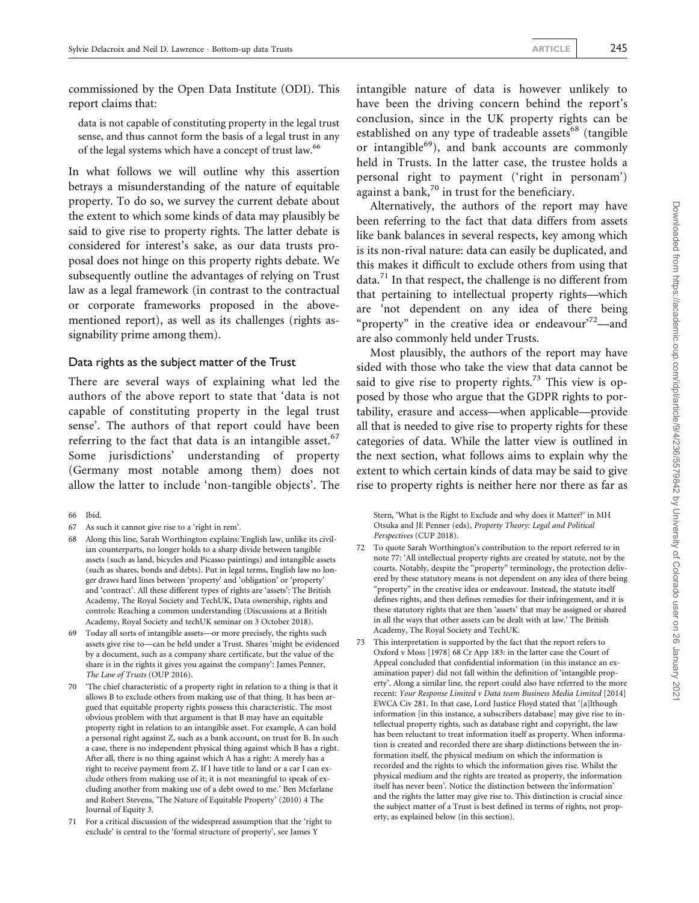commissioned by the Open Data Institute (ODI). This report claims that:

data is not capable of constituting property in the legal trust sense, and thus cannot form the basis of a legal trust in any of the legal systems which have a concept of trust law.<sup>66</sup>

In what follows we will outline why this assertion betrays a misunderstanding of the nature of equitable property. To do so, we survey the current debate about the extent to which some kinds of data may plausibly be said to give rise to property rights. The latter debate is considered for interest's sake, as our data trusts proposal does not hinge on this property rights debate. We subsequently outline the advantages of relying on Trust law as a legal framework (in contrast to the contractual or corporate frameworks proposed in the abovementioned report), as well as its challenges (rights assignability prime among them).

#### Data rights as the subject matter of the Trust

There are several ways of explaining what led the authors of the above report to state that 'data is not capable of constituting property in the legal trust sense'. The authors of that report could have been referring to the fact that data is an intangible asset.<sup>67</sup> Some jurisdictions' understanding of property (Germany most notable among them) does not allow the latter to include 'non-tangible objects'. The

66 Ibid.

- 67 As such it cannot give rise to a 'right in rem'.
- 68 Along this line, Sarah Worthington explains: English law, unlike its civilian counterparts, no longer holds to a sharp divide between tangible assets (such as land, bicycles and Picasso paintings) and intangible assets (such as shares, bonds and debts). Put in legal terms, English law no longer draws hard lines between 'property' and 'obligation' or 'property' and 'contract'. All these different types of rights are 'assets': The British Academy, The Royal Society and TechUK, Data ownership, rights and controls: Reaching a common understanding (Discussions at a British Academy, Royal Society and techUK seminar on 3 October 2018).
- 69 Today all sorts of intangible assets—or more precisely, the rights such assets give rise to—can be held under a Trust. Shares 'might be evidenced by a document, such as a company share certificate, but the value of the share is in the rights it gives you against the company': James Penner, The Law of Trusts (OUP 2016).
- 'The chief characteristic of a property right in relation to a thing is that it allows B to exclude others from making use of that thing. It has been argued that equitable property rights possess this characteristic. The most obvious problem with that argument is that B may have an equitable property right in relation to an intangible asset. For example, A can hold a personal right against Z, such as a bank account, on trust for B. In such a case, there is no independent physical thing against which B has a right. After all, there is no thing against which A has a right: A merely has a right to receive payment from Z. If I have title to land or a car I can exclude others from making use of it; it is not meaningful to speak of excluding another from making use of a debt owed to me.' Ben Mcfarlane and Robert Stevens, 'The Nature of Equitable Property' (2010) 4 The Journal of Equity 3.
- 71 For a critical discussion of the widespread assumption that the 'right to exclude' is central to the 'formal structure of property', see James Y

intangible nature of data is however unlikely to have been the driving concern behind the report's conclusion, since in the UK property rights can be established on any type of tradeable assets $^{68}$  (tangible or intangible<sup>69</sup>), and bank accounts are commonly held in Trusts. In the latter case, the trustee holds a personal right to payment ('right in personam') against a bank, $70$  in trust for the beneficiary.

Alternatively, the authors of the report may have been referring to the fact that data differs from assets like bank balances in several respects, key among which is its non-rival nature: data can easily be duplicated, and this makes it difficult to exclude others from using that data. $^{71}$  In that respect, the challenge is no different from that pertaining to intellectual property rights—which are 'not dependent on any idea of there being "property" in the creative idea or endeavour $172$ —and are also commonly held under Trusts.

Most plausibly, the authors of the report may have sided with those who take the view that data cannot be said to give rise to property rights.<sup>73</sup> This view is opposed by those who argue that the GDPR rights to portability, erasure and access—when applicable—provide all that is needed to give rise to property rights for these categories of data. While the latter view is outlined in the next section, what follows aims to explain why the extent to which certain kinds of data may be said to give rise to property rights is neither here nor there as far as

Stern, 'What is the Right to Exclude and why does it Matter?' in MH Otsuka and JE Penner (eds), Property Theory: Legal and Political Perspectives (CUP 2018).

- 72 To quote Sarah Worthington's contribution to the report referred to in note 77: 'All intellectual property rights are created by statute, not by the courts. Notably, despite the "property" terminology, the protection delivered by these statutory means is not dependent on any idea of there being "property" in the creative idea or endeavour. Instead, the statute itself defines rights, and then defines remedies for their infringement, and it is these statutory rights that are then 'assets' that may be assigned or shared in all the ways that other assets can be dealt with at law.' The British Academy, The Royal Society and TechUK.
- 73 This interpretation is supported by the fact that the report refers to Oxford v Moss [1978] 68 Cr App 183: in the latter case the Court of Appeal concluded that confidential information (in this instance an examination paper) did not fall within the definition of 'intangible property'. Along a similar line, the report could also have referred to the more recent: Your Response Limited v Data team Business Media Limited [2014] EWCA Civ 281. In that case, Lord Justice Floyd stated that '[a]lthough information [in this instance, a subscribers database] may give rise to intellectual property rights, such as database right and copyright, the law has been reluctant to treat information itself as property. When information is created and recorded there are sharp distinctions between the information itself, the physical medium on which the information is recorded and the rights to which the information gives rise. Whilst the physical medium and the rights are treated as property, the information itself has never been'. Notice the distinction between the 'information' and the rights the latter may give rise to. This distinction is crucial since the subject matter of a Trust is best defined in terms of rights, not property, as explained below (in this section).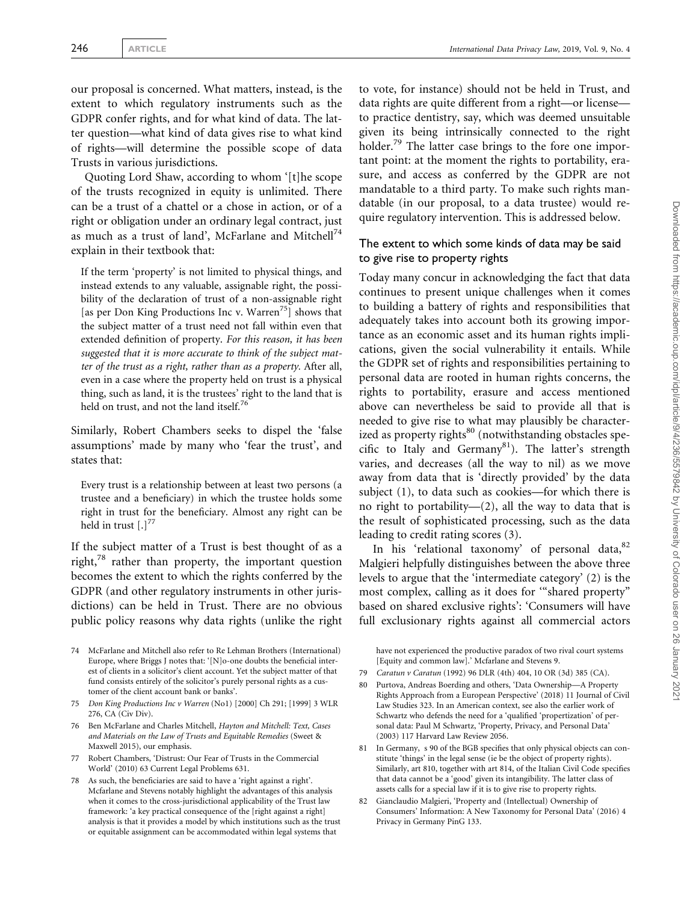our proposal is concerned. What matters, instead, is the extent to which regulatory instruments such as the GDPR confer rights, and for what kind of data. The latter question—what kind of data gives rise to what kind of rights—will determine the possible scope of data Trusts in various jurisdictions.

Quoting Lord Shaw, according to whom '[t]he scope of the trusts recognized in equity is unlimited. There can be a trust of a chattel or a chose in action, or of a right or obligation under an ordinary legal contract, just as much as a trust of land', McFarlane and Mitchell<sup>74</sup> explain in their textbook that:

If the term 'property' is not limited to physical things, and instead extends to any valuable, assignable right, the possibility of the declaration of trust of a non-assignable right [as per Don King Productions Inc v. Warren<sup>75</sup>] shows that the subject matter of a trust need not fall within even that extended definition of property. For this reason, it has been suggested that it is more accurate to think of the subject matter of the trust as a right, rather than as a property. After all, even in a case where the property held on trust is a physical thing, such as land, it is the trustees' right to the land that is held on trust, and not the land itself.<sup>76</sup>

Similarly, Robert Chambers seeks to dispel the 'false assumptions' made by many who 'fear the trust', and states that:

Every trust is a relationship between at least two persons (a trustee and a beneficiary) in which the trustee holds some right in trust for the beneficiary. Almost any right can be held in trust  $[.]^{77}$ 

If the subject matter of a Trust is best thought of as a right, $^{78}$  rather than property, the important question becomes the extent to which the rights conferred by the GDPR (and other regulatory instruments in other jurisdictions) can be held in Trust. There are no obvious public policy reasons why data rights (unlike the right

- 75 Don King Productions Inc v Warren (No1) [2000] Ch 291; [1999] 3 WLR 276, CA (Civ Div).
- 76 Ben McFarlane and Charles Mitchell, Hayton and Mitchell: Text, Cases and Materials on the Law of Trusts and Equitable Remedies (Sweet & Maxwell 2015), our emphasis.
- 77 Robert Chambers, 'Distrust: Our Fear of Trusts in the Commercial World' (2010) 63 Current Legal Problems 631.
- 78 As such, the beneficiaries are said to have a 'right against a right'. Mcfarlane and Stevens notably highlight the advantages of this analysis when it comes to the cross-jurisdictional applicability of the Trust law framework: 'a key practical consequence of the [right against a right] analysis is that it provides a model by which institutions such as the trust or equitable assignment can be accommodated within legal systems that

to vote, for instance) should not be held in Trust, and data rights are quite different from a right—or license to practice dentistry, say, which was deemed unsuitable given its being intrinsically connected to the right holder.<sup>79</sup> The latter case brings to the fore one important point: at the moment the rights to portability, erasure, and access as conferred by the GDPR are not mandatable to a third party. To make such rights mandatable (in our proposal, to a data trustee) would require regulatory intervention. This is addressed below.

### The extent to which some kinds of data may be said to give rise to property rights

Today many concur in acknowledging the fact that data continues to present unique challenges when it comes to building a battery of rights and responsibilities that adequately takes into account both its growing importance as an economic asset and its human rights implications, given the social vulnerability it entails. While the GDPR set of rights and responsibilities pertaining to personal data are rooted in human rights concerns, the rights to portability, erasure and access mentioned above can nevertheless be said to provide all that is needed to give rise to what may plausibly be characterized as property rights<sup>80</sup> (notwithstanding obstacles specific to Italy and Germany $81$ ). The latter's strength varies, and decreases (all the way to nil) as we move away from data that is 'directly provided' by the data subject (1), to data such as cookies—for which there is no right to portability— $(2)$ , all the way to data that is the result of sophisticated processing, such as the data leading to credit rating scores (3).

In his 'relational taxonomy' of personal data, $82$ Malgieri helpfully distinguishes between the above three levels to argue that the 'intermediate category' (2) is the most complex, calling as it does for '"shared property" based on shared exclusive rights': 'Consumers will have full exclusionary rights against all commercial actors

have not experienced the productive paradox of two rival court systems [Equity and common law].' Mcfarlane and Stevens 9.

- 79 Caratun v Caratun (1992) 96 DLR (4th) 404, 10 OR (3d) 385 (CA).
- 80 Purtova, Andreas Boerding and others, 'Data Ownership—A Property Rights Approach from a European Perspective' (2018) 11 Journal of Civil Law Studies 323. In an American context, see also the earlier work of Schwartz who defends the need for a 'qualified 'propertization' of personal data: Paul M Schwartz, 'Property, Privacy, and Personal Data' (2003) 117 Harvard Law Review 2056.
- 81 In Germany, s 90 of the BGB specifies that only physical objects can constitute 'things' in the legal sense (ie be the object of property rights). Similarly, art 810, together with art 814, of the Italian Civil Code specifies that data cannot be a 'good' given its intangibility. The latter class of assets calls for a special law if it is to give rise to property rights.
- 82 Gianclaudio Malgieri, 'Property and (Intellectual) Ownership of Consumers' Information: A New Taxonomy for Personal Data' (2016) 4 Privacy in Germany PinG 133.

<sup>74</sup> McFarlane and Mitchell also refer to Re Lehman Brothers (International) Europe, where Briggs J notes that: '[N]o-one doubts the beneficial interest of clients in a solicitor's client account. Yet the subject matter of that fund consists entirely of the solicitor's purely personal rights as a customer of the client account bank or banks'.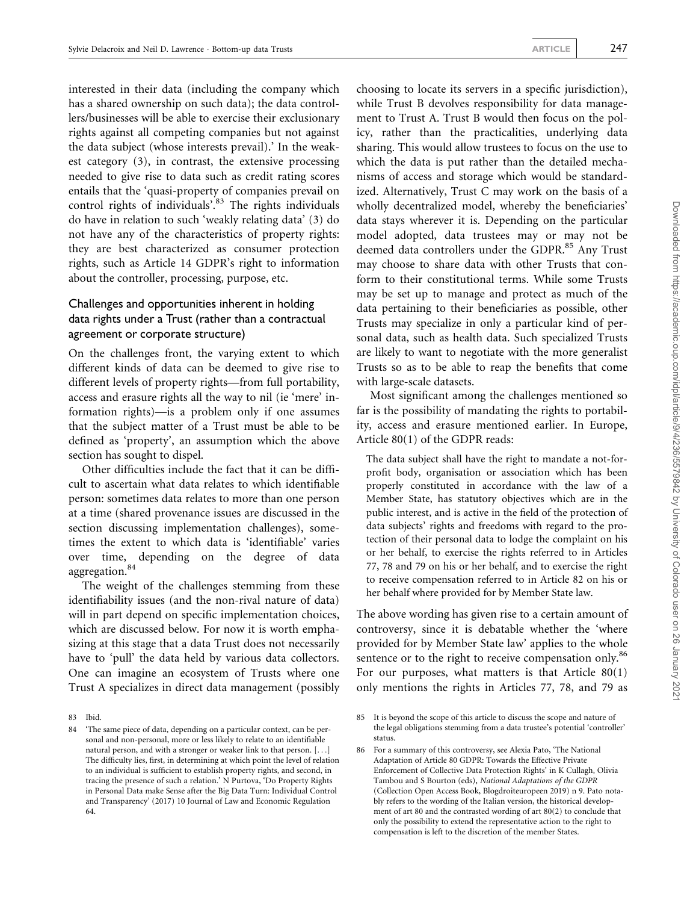interested in their data (including the company which has a shared ownership on such data); the data controllers/businesses will be able to exercise their exclusionary rights against all competing companies but not against the data subject (whose interests prevail).' In the weakest category (3), in contrast, the extensive processing needed to give rise to data such as credit rating scores entails that the 'quasi-property of companies prevail on control rights of individuals'.<sup>83</sup> The rights individuals do have in relation to such 'weakly relating data' (3) do not have any of the characteristics of property rights: they are best characterized as consumer protection rights, such as Article 14 GDPR's right to information about the controller, processing, purpose, etc.

## Challenges and opportunities inherent in holding data rights under a Trust (rather than a contractual agreement or corporate structure)

On the challenges front, the varying extent to which different kinds of data can be deemed to give rise to different levels of property rights—from full portability, access and erasure rights all the way to nil (ie 'mere' information rights)—is a problem only if one assumes that the subject matter of a Trust must be able to be defined as 'property', an assumption which the above section has sought to dispel.

Other difficulties include the fact that it can be difficult to ascertain what data relates to which identifiable person: sometimes data relates to more than one person at a time (shared provenance issues are discussed in the section discussing implementation challenges), sometimes the extent to which data is 'identifiable' varies over time, depending on the degree of data aggregation.<sup>84</sup>

The weight of the challenges stemming from these identifiability issues (and the non-rival nature of data) will in part depend on specific implementation choices, which are discussed below. For now it is worth emphasizing at this stage that a data Trust does not necessarily have to 'pull' the data held by various data collectors. One can imagine an ecosystem of Trusts where one Trust A specializes in direct data management (possibly

83 Ibid.

choosing to locate its servers in a specific jurisdiction), while Trust B devolves responsibility for data management to Trust A. Trust B would then focus on the policy, rather than the practicalities, underlying data sharing. This would allow trustees to focus on the use to which the data is put rather than the detailed mechanisms of access and storage which would be standardized. Alternatively, Trust C may work on the basis of a wholly decentralized model, whereby the beneficiaries' data stays wherever it is. Depending on the particular model adopted, data trustees may or may not be deemed data controllers under the GDPR.<sup>85</sup> Any Trust may choose to share data with other Trusts that conform to their constitutional terms. While some Trusts may be set up to manage and protect as much of the data pertaining to their beneficiaries as possible, other Trusts may specialize in only a particular kind of personal data, such as health data. Such specialized Trusts are likely to want to negotiate with the more generalist Trusts so as to be able to reap the benefits that come with large-scale datasets.

Most significant among the challenges mentioned so far is the possibility of mandating the rights to portability, access and erasure mentioned earlier. In Europe, Article 80(1) of the GDPR reads:

The data subject shall have the right to mandate a not-forprofit body, organisation or association which has been properly constituted in accordance with the law of a Member State, has statutory objectives which are in the public interest, and is active in the field of the protection of data subjects' rights and freedoms with regard to the protection of their personal data to lodge the complaint on his or her behalf, to exercise the rights referred to in Articles 77, 78 and 79 on his or her behalf, and to exercise the right to receive compensation referred to in Article 82 on his or her behalf where provided for by Member State law.

The above wording has given rise to a certain amount of controversy, since it is debatable whether the 'where provided for by Member State law' applies to the whole sentence or to the right to receive compensation only.<sup>86</sup> For our purposes, what matters is that Article 80(1) only mentions the rights in Articles 77, 78, and 79 as

<sup>84 &#</sup>x27;The same piece of data, depending on a particular context, can be personal and non-personal, more or less likely to relate to an identifiable natural person, and with a stronger or weaker link to that person. [...] The difficulty lies, first, in determining at which point the level of relation to an individual is sufficient to establish property rights, and second, in tracing the presence of such a relation.' N Purtova, 'Do Property Rights in Personal Data make Sense after the Big Data Turn: Individual Control and Transparency' (2017) 10 Journal of Law and Economic Regulation 64.

<sup>85</sup> It is beyond the scope of this article to discuss the scope and nature of the legal obligations stemming from a data trustee's potential 'controller' status.

<sup>86</sup> For a summary of this controversy, see Alexia Pato, 'The National Adaptation of Article 80 GDPR: Towards the Effective Private Enforcement of Collective Data Protection Rights' in K Cullagh, Olivia Tambou and S Bourton (eds), National Adaptations of the GDPR (Collection Open Access Book, Blogdroiteuropeen 2019) n 9. Pato notably refers to the wording of the Italian version, the historical development of art 80 and the contrasted wording of art 80(2) to conclude that only the possibility to extend the representative action to the right to compensation is left to the discretion of the member States.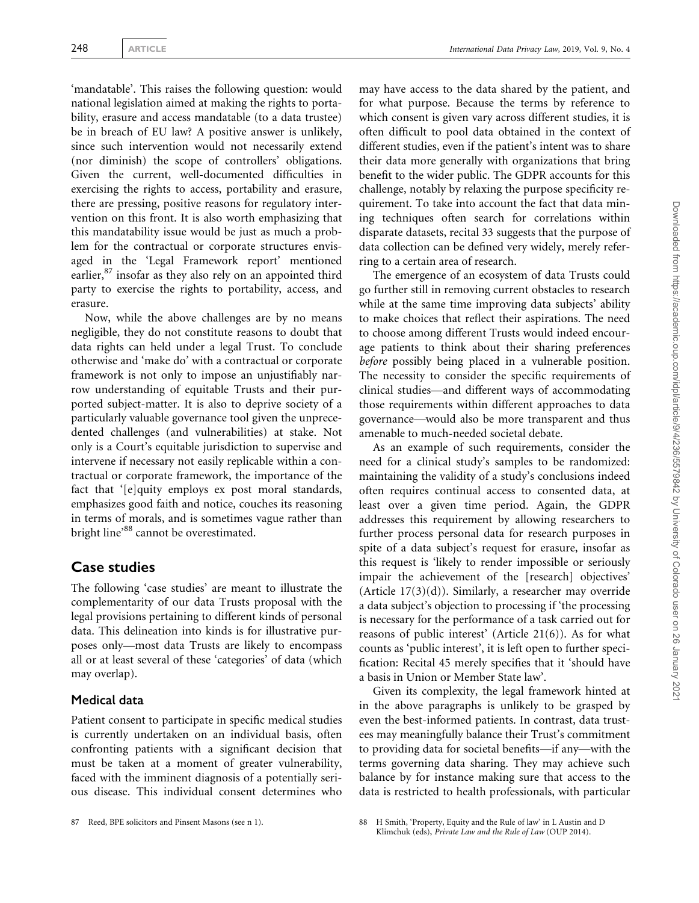'mandatable'. This raises the following question: would national legislation aimed at making the rights to portability, erasure and access mandatable (to a data trustee) be in breach of EU law? A positive answer is unlikely, since such intervention would not necessarily extend (nor diminish) the scope of controllers' obligations. Given the current, well-documented difficulties in exercising the rights to access, portability and erasure, there are pressing, positive reasons for regulatory intervention on this front. It is also worth emphasizing that this mandatability issue would be just as much a problem for the contractual or corporate structures envisaged in the 'Legal Framework report' mentioned earlier, $87$  insofar as they also rely on an appointed third party to exercise the rights to portability, access, and erasure.

Now, while the above challenges are by no means negligible, they do not constitute reasons to doubt that data rights can held under a legal Trust. To conclude otherwise and 'make do' with a contractual or corporate framework is not only to impose an unjustifiably narrow understanding of equitable Trusts and their purported subject-matter. It is also to deprive society of a particularly valuable governance tool given the unprecedented challenges (and vulnerabilities) at stake. Not only is a Court's equitable jurisdiction to supervise and intervene if necessary not easily replicable within a contractual or corporate framework, the importance of the fact that '[e]quity employs ex post moral standards, emphasizes good faith and notice, couches its reasoning in terms of morals, and is sometimes vague rather than bright line'<sup>88</sup> cannot be overestimated.

## Case studies

The following 'case studies' are meant to illustrate the complementarity of our data Trusts proposal with the legal provisions pertaining to different kinds of personal data. This delineation into kinds is for illustrative purposes only—most data Trusts are likely to encompass all or at least several of these 'categories' of data (which may overlap).

#### Medical data

Patient consent to participate in specific medical studies is currently undertaken on an individual basis, often confronting patients with a significant decision that must be taken at a moment of greater vulnerability, faced with the imminent diagnosis of a potentially serious disease. This individual consent determines who

may have access to the data shared by the patient, and for what purpose. Because the terms by reference to which consent is given vary across different studies, it is often difficult to pool data obtained in the context of different studies, even if the patient's intent was to share their data more generally with organizations that bring benefit to the wider public. The GDPR accounts for this challenge, notably by relaxing the purpose specificity requirement. To take into account the fact that data mining techniques often search for correlations within disparate datasets, recital 33 suggests that the purpose of data collection can be defined very widely, merely referring to a certain area of research.

The emergence of an ecosystem of data Trusts could go further still in removing current obstacles to research while at the same time improving data subjects' ability to make choices that reflect their aspirations. The need to choose among different Trusts would indeed encourage patients to think about their sharing preferences before possibly being placed in a vulnerable position. The necessity to consider the specific requirements of clinical studies—and different ways of accommodating those requirements within different approaches to data governance—would also be more transparent and thus amenable to much-needed societal debate.

As an example of such requirements, consider the need for a clinical study's samples to be randomized: maintaining the validity of a study's conclusions indeed often requires continual access to consented data, at least over a given time period. Again, the GDPR addresses this requirement by allowing researchers to further process personal data for research purposes in spite of a data subject's request for erasure, insofar as this request is 'likely to render impossible or seriously impair the achievement of the [research] objectives' (Article  $17(3)(d)$ ). Similarly, a researcher may override a data subject's objection to processing if 'the processing is necessary for the performance of a task carried out for reasons of public interest' (Article  $21(6)$ ). As for what counts as 'public interest', it is left open to further specification: Recital 45 merely specifies that it 'should have a basis in Union or Member State law'.

Given its complexity, the legal framework hinted at in the above paragraphs is unlikely to be grasped by even the best-informed patients. In contrast, data trustees may meaningfully balance their Trust's commitment to providing data for societal benefits—if any—with the terms governing data sharing. They may achieve such balance by for instance making sure that access to the data is restricted to health professionals, with particular

<sup>87</sup> Reed, BPE solicitors and Pinsent Masons (see n 1). 88 H Smith, 'Property, Equity and the Rule of law' in L Austin and D Klimchuk (eds), Private Law and the Rule of Law (OUP 2014).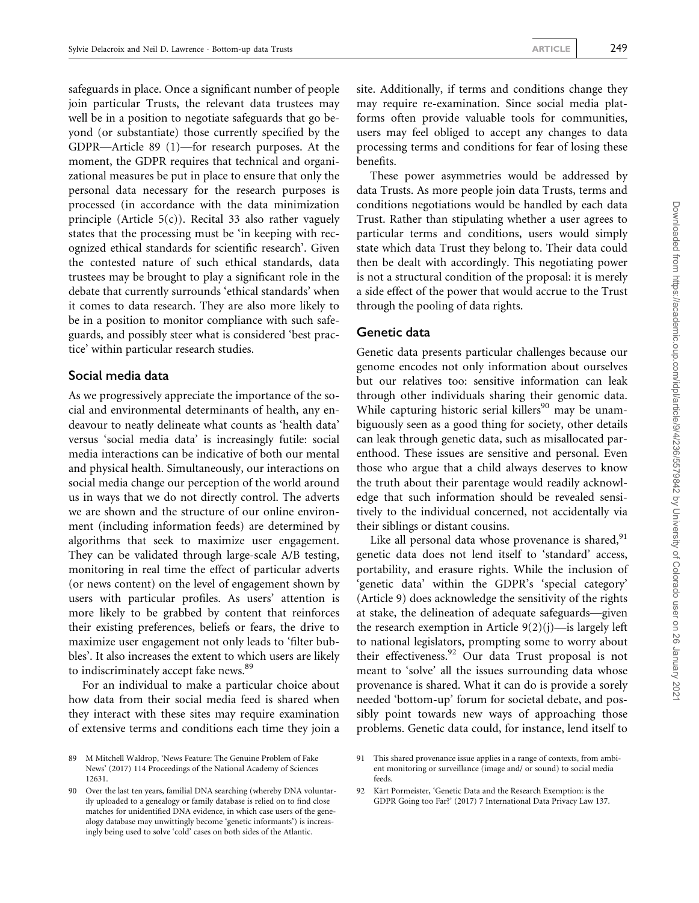safeguards in place. Once a significant number of people join particular Trusts, the relevant data trustees may well be in a position to negotiate safeguards that go beyond (or substantiate) those currently specified by the GDPR—Article 89 (1)—for research purposes. At the moment, the GDPR requires that technical and organizational measures be put in place to ensure that only the personal data necessary for the research purposes is processed (in accordance with the data minimization principle (Article  $5(c)$ ). Recital 33 also rather vaguely states that the processing must be 'in keeping with recognized ethical standards for scientific research'. Given the contested nature of such ethical standards, data trustees may be brought to play a significant role in the debate that currently surrounds 'ethical standards' when it comes to data research. They are also more likely to be in a position to monitor compliance with such safeguards, and possibly steer what is considered 'best practice' within particular research studies.

#### Social media data

As we progressively appreciate the importance of the social and environmental determinants of health, any endeavour to neatly delineate what counts as 'health data' versus 'social media data' is increasingly futile: social media interactions can be indicative of both our mental and physical health. Simultaneously, our interactions on social media change our perception of the world around us in ways that we do not directly control. The adverts we are shown and the structure of our online environment (including information feeds) are determined by algorithms that seek to maximize user engagement. They can be validated through large-scale A/B testing, monitoring in real time the effect of particular adverts (or news content) on the level of engagement shown by users with particular profiles. As users' attention is more likely to be grabbed by content that reinforces their existing preferences, beliefs or fears, the drive to maximize user engagement not only leads to 'filter bubbles'. It also increases the extent to which users are likely to indiscriminately accept fake news.<sup>89</sup>

For an individual to make a particular choice about how data from their social media feed is shared when they interact with these sites may require examination of extensive terms and conditions each time they join a site. Additionally, if terms and conditions change they may require re-examination. Since social media platforms often provide valuable tools for communities, users may feel obliged to accept any changes to data processing terms and conditions for fear of losing these benefits.

These power asymmetries would be addressed by data Trusts. As more people join data Trusts, terms and conditions negotiations would be handled by each data Trust. Rather than stipulating whether a user agrees to particular terms and conditions, users would simply state which data Trust they belong to. Their data could then be dealt with accordingly. This negotiating power is not a structural condition of the proposal: it is merely a side effect of the power that would accrue to the Trust through the pooling of data rights.

#### Genetic data

Genetic data presents particular challenges because our genome encodes not only information about ourselves but our relatives too: sensitive information can leak through other individuals sharing their genomic data. While capturing historic serial killers<sup>90</sup> may be unambiguously seen as a good thing for society, other details can leak through genetic data, such as misallocated parenthood. These issues are sensitive and personal. Even those who argue that a child always deserves to know the truth about their parentage would readily acknowledge that such information should be revealed sensitively to the individual concerned, not accidentally via their siblings or distant cousins.

Like all personal data whose provenance is shared, <sup>91</sup> genetic data does not lend itself to 'standard' access, portability, and erasure rights. While the inclusion of 'genetic data' within the GDPR's 'special category' (Article 9) does acknowledge the sensitivity of the rights at stake, the delineation of adequate safeguards—given the research exemption in Article  $9(2)(j)$ —is largely left to national legislators, prompting some to worry about their effectiveness.<sup>92</sup> Our data Trust proposal is not meant to 'solve' all the issues surrounding data whose provenance is shared. What it can do is provide a sorely needed 'bottom-up' forum for societal debate, and possibly point towards new ways of approaching those problems. Genetic data could, for instance, lend itself to

<sup>89</sup> M Mitchell Waldrop, 'News Feature: The Genuine Problem of Fake News' (2017) 114 Proceedings of the National Academy of Sciences 12631.

<sup>90</sup> Over the last ten years, familial DNA searching (whereby DNA voluntarily uploaded to a genealogy or family database is relied on to find close matches for unidentified DNA evidence, in which case users of the genealogy database may unwittingly become 'genetic informants') is increasingly being used to solve 'cold' cases on both sides of the Atlantic.

<sup>91</sup> This shared provenance issue applies in a range of contexts, from ambient monitoring or surveillance (image and/ or sound) to social media feeds.

<sup>92</sup> Kärt Pormeister, 'Genetic Data and the Research Exemption: is the GDPR Going too Far?' (2017) 7 International Data Privacy Law 137.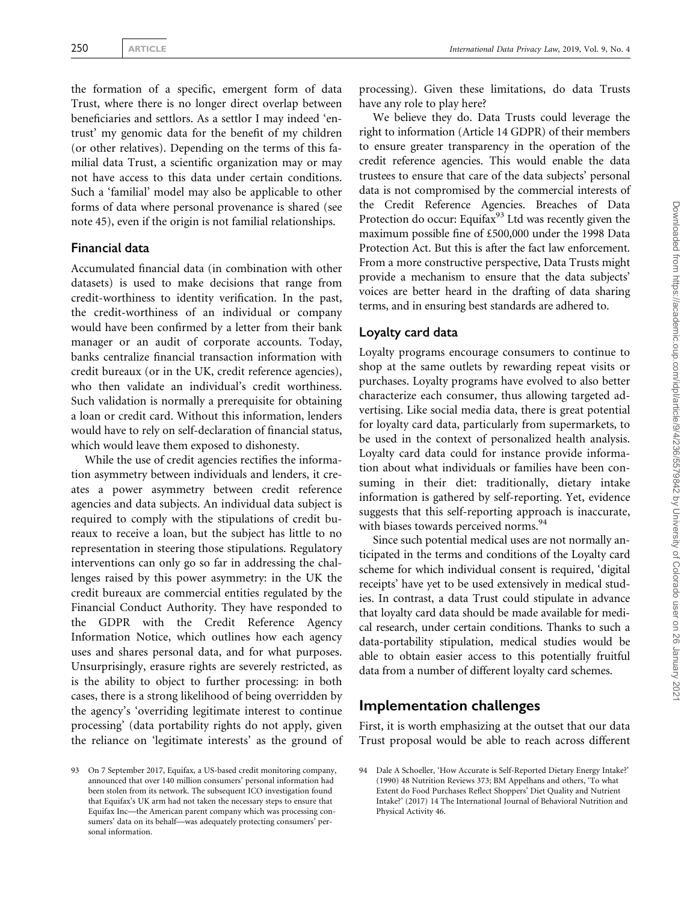the formation of a specific, emergent form of data Trust, where there is no longer direct overlap between beneficiaries and settlors. As a settlor I may indeed 'entrust' my genomic data for the benefit of my children (or other relatives). Depending on the terms of this familial data Trust, a scientific organization may or may not have access to this data under certain conditions. Such a 'familial' model may also be applicable to other forms of data where personal provenance is shared (see note 45), even if the origin is not familial relationships.

## Financial data

Accumulated financial data (in combination with other datasets) is used to make decisions that range from credit-worthiness to identity verification. In the past, the credit-worthiness of an individual or company would have been confirmed by a letter from their bank manager or an audit of corporate accounts. Today, banks centralize financial transaction information with credit bureaux (or in the UK, credit reference agencies), who then validate an individual's credit worthiness. Such validation is normally a prerequisite for obtaining a loan or credit card. Without this information, lenders would have to rely on self-declaration of financial status, which would leave them exposed to dishonesty.

While the use of credit agencies rectifies the information asymmetry between individuals and lenders, it creates a power asymmetry between credit reference agencies and data subjects. An individual data subject is required to comply with the stipulations of credit bureaux to receive a loan, but the subject has little to no representation in steering those stipulations. Regulatory interventions can only go so far in addressing the challenges raised by this power asymmetry: in the UK the credit bureaux are commercial entities regulated by the Financial Conduct Authority. They have responded to the GDPR with the Credit Reference Agency Information Notice, which outlines how each agency uses and shares personal data, and for what purposes. Unsurprisingly, erasure rights are severely restricted, as is the ability to object to further processing: in both cases, there is a strong likelihood of being overridden by the agency's 'overriding legitimate interest to continue processing' (data portability rights do not apply, given the reliance on 'legitimate interests' as the ground of processing). Given these limitations, do data Trusts have any role to play here?

We believe they do. Data Trusts could leverage the right to information (Article 14 GDPR) of their members to ensure greater transparency in the operation of the credit reference agencies. This would enable the data trustees to ensure that care of the data subjects' personal data is not compromised by the commercial interests of the Credit Reference Agencies. Breaches of Data Protection do occur: Equifax $93$  Ltd was recently given the maximum possible fine of £500,000 under the 1998 Data Protection Act. But this is after the fact law enforcement. From a more constructive perspective, Data Trusts might provide a mechanism to ensure that the data subjects' voices are better heard in the drafting of data sharing terms, and in ensuring best standards are adhered to.

#### Loyalty card data

Loyalty programs encourage consumers to continue to shop at the same outlets by rewarding repeat visits or purchases. Loyalty programs have evolved to also better characterize each consumer, thus allowing targeted advertising. Like social media data, there is great potential for loyalty card data, particularly from supermarkets, to be used in the context of personalized health analysis. Loyalty card data could for instance provide information about what individuals or families have been consuming in their diet: traditionally, dietary intake information is gathered by self-reporting. Yet, evidence suggests that this self-reporting approach is inaccurate, with biases towards perceived norms.<sup>94</sup>

Since such potential medical uses are not normally anticipated in the terms and conditions of the Loyalty card scheme for which individual consent is required, 'digital receipts' have yet to be used extensively in medical studies. In contrast, a data Trust could stipulate in advance that loyalty card data should be made available for medical research, under certain conditions. Thanks to such a data-portability stipulation, medical studies would be able to obtain easier access to this potentially fruitful data from a number of different loyalty card schemes.

## Implementation challenges

First, it is worth emphasizing at the outset that our data Trust proposal would be able to reach across different

<sup>93</sup> On 7 September 2017, Equifax, a US-based credit monitoring company, announced that over 140 million consumers' personal information had been stolen from its network. The subsequent ICO investigation found that Equifax's UK arm had not taken the necessary steps to ensure that Equifax Inc—the American parent company which was processing consumers' data on its behalf—was adequately protecting consumers' personal information.

<sup>94</sup> Dale A Schoeller, 'How Accurate is Self-Reported Dietary Energy Intake?' (1990) 48 Nutrition Reviews 373; BM Appelhans and others, 'To what Extent do Food Purchases Reflect Shoppers' Diet Quality and Nutrient Intake?' (2017) 14 The International Journal of Behavioral Nutrition and Physical Activity 46.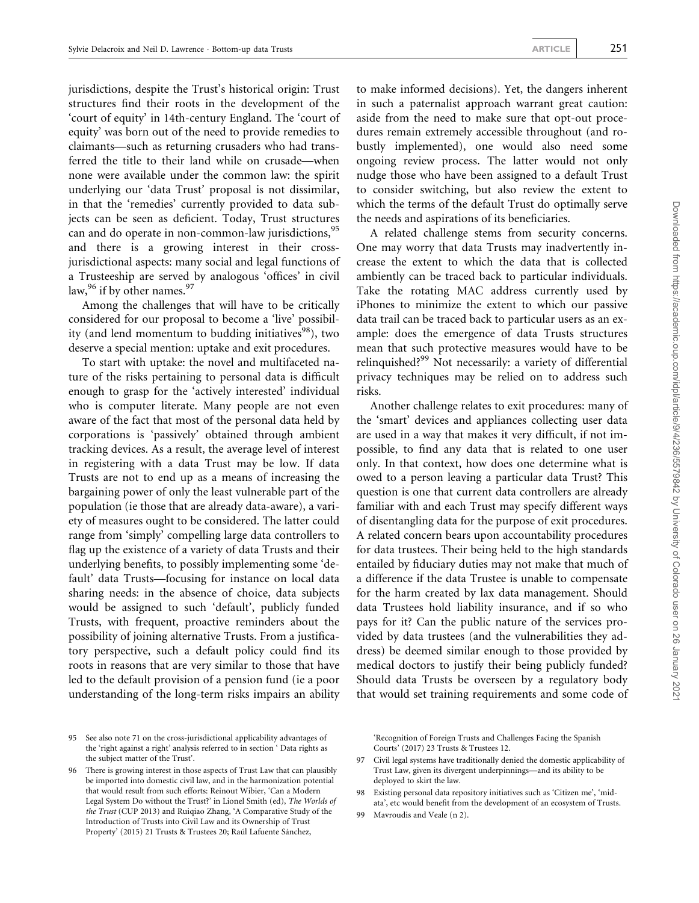jurisdictions, despite the Trust's historical origin: Trust structures find their roots in the development of the 'court of equity' in 14th-century England. The 'court of equity' was born out of the need to provide remedies to claimants—such as returning crusaders who had transferred the title to their land while on crusade—when none were available under the common law: the spirit underlying our 'data Trust' proposal is not dissimilar, in that the 'remedies' currently provided to data subjects can be seen as deficient. Today, Trust structures can and do operate in non-common-law jurisdictions,<sup>95</sup> and there is a growing interest in their crossjurisdictional aspects: many social and legal functions of a Trusteeship are served by analogous 'offices' in civil law,  $96$  if by other names.  $97$ 

Among the challenges that will have to be critically considered for our proposal to become a 'live' possibility (and lend momentum to budding initiatives<sup>98</sup>), two deserve a special mention: uptake and exit procedures.

To start with uptake: the novel and multifaceted nature of the risks pertaining to personal data is difficult enough to grasp for the 'actively interested' individual who is computer literate. Many people are not even aware of the fact that most of the personal data held by corporations is 'passively' obtained through ambient tracking devices. As a result, the average level of interest in registering with a data Trust may be low. If data Trusts are not to end up as a means of increasing the bargaining power of only the least vulnerable part of the population (ie those that are already data-aware), a variety of measures ought to be considered. The latter could range from 'simply' compelling large data controllers to flag up the existence of a variety of data Trusts and their underlying benefits, to possibly implementing some 'default' data Trusts—focusing for instance on local data sharing needs: in the absence of choice, data subjects would be assigned to such 'default', publicly funded Trusts, with frequent, proactive reminders about the possibility of joining alternative Trusts. From a justificatory perspective, such a default policy could find its roots in reasons that are very similar to those that have led to the default provision of a pension fund (ie a poor understanding of the long-term risks impairs an ability to make informed decisions). Yet, the dangers inherent in such a paternalist approach warrant great caution: aside from the need to make sure that opt-out procedures remain extremely accessible throughout (and robustly implemented), one would also need some ongoing review process. The latter would not only nudge those who have been assigned to a default Trust to consider switching, but also review the extent to which the terms of the default Trust do optimally serve the needs and aspirations of its beneficiaries.

A related challenge stems from security concerns. One may worry that data Trusts may inadvertently increase the extent to which the data that is collected ambiently can be traced back to particular individuals. Take the rotating MAC address currently used by iPhones to minimize the extent to which our passive data trail can be traced back to particular users as an example: does the emergence of data Trusts structures mean that such protective measures would have to be relinquished?<sup>99</sup> Not necessarily: a variety of differential privacy techniques may be relied on to address such risks.

Another challenge relates to exit procedures: many of the 'smart' devices and appliances collecting user data are used in a way that makes it very difficult, if not impossible, to find any data that is related to one user only. In that context, how does one determine what is owed to a person leaving a particular data Trust? This question is one that current data controllers are already familiar with and each Trust may specify different ways of disentangling data for the purpose of exit procedures. A related concern bears upon accountability procedures for data trustees. Their being held to the high standards entailed by fiduciary duties may not make that much of a difference if the data Trustee is unable to compensate for the harm created by lax data management. Should data Trustees hold liability insurance, and if so who pays for it? Can the public nature of the services provided by data trustees (and the vulnerabilities they address) be deemed similar enough to those provided by medical doctors to justify their being publicly funded? Should data Trusts be overseen by a regulatory body that would set training requirements and some code of

'Recognition of Foreign Trusts and Challenges Facing the Spanish Courts' (2017) 23 Trusts & Trustees 12.

Mavroudis and Veale (n 2).

<sup>95</sup> See also note 71 on the cross-jurisdictional applicability advantages of the 'right against a right' analysis referred to in section ' Data rights as the subject matter of the Trust'.

<sup>96</sup> There is growing interest in those aspects of Trust Law that can plausibly be imported into domestic civil law, and in the harmonization potential that would result from such efforts: Reinout Wibier, 'Can a Modern Legal System Do without the Trust?' in Lionel Smith (ed), The Worlds of the Trust (CUP 2013) and Ruiqiao Zhang, 'A Comparative Study of the Introduction of Trusts into Civil Law and its Ownership of Trust Property' (2015) 21 Trusts & Trustees 20; Raúl Lafuente Sánchez,

<sup>97</sup> Civil legal systems have traditionally denied the domestic applicability of Trust Law, given its divergent underpinnings—and its ability to be deployed to skirt the law.

<sup>98</sup> Existing personal data repository initiatives such as 'Citizen me', 'midata', etc would benefit from the development of an ecosystem of Trusts.